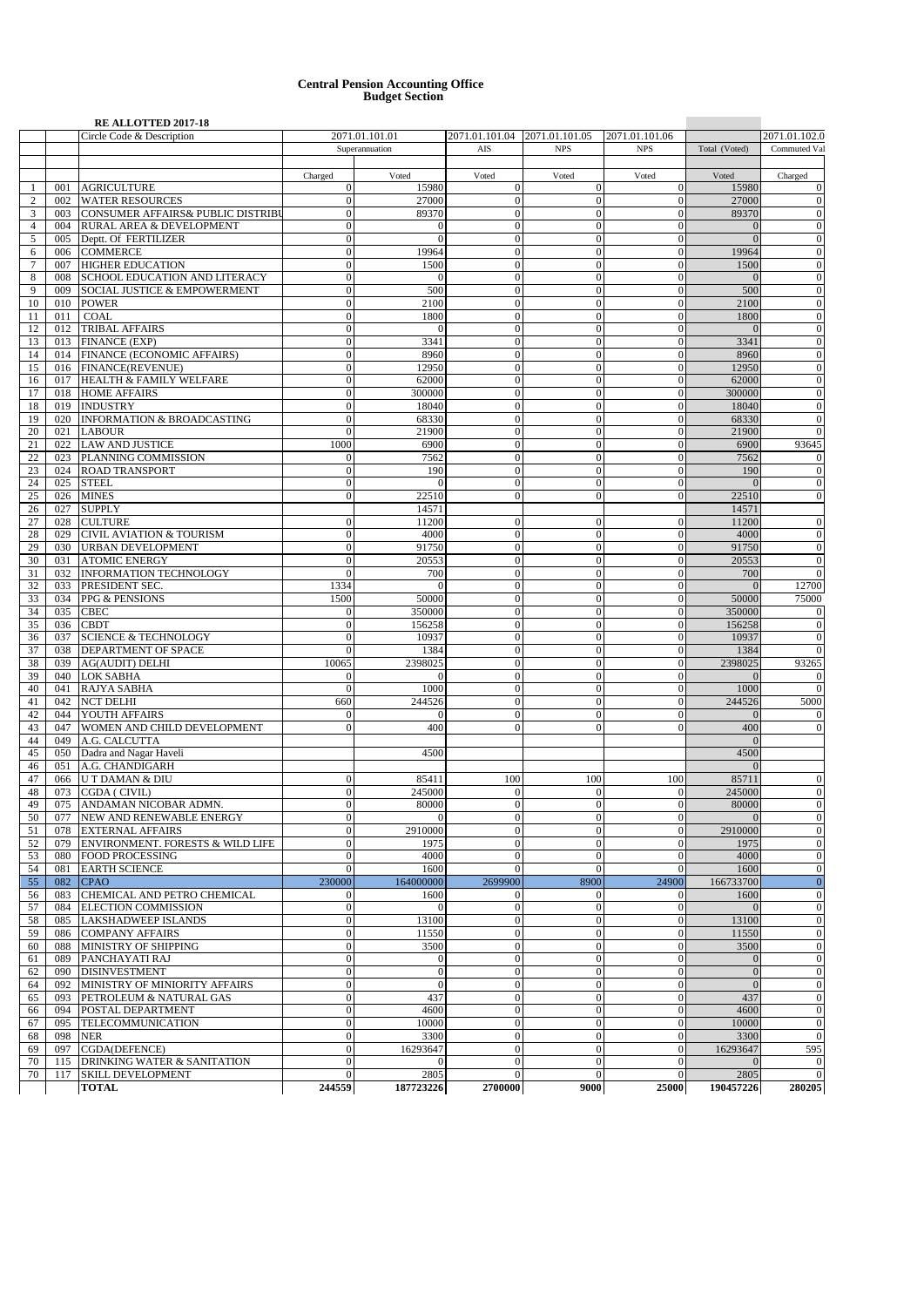## **Central Pension Accounting Office Budget Section**

|                |     | <b>RE ALLOTTED 2017-18</b>              |                |                |                               |                  |                |                |                |  |
|----------------|-----|-----------------------------------------|----------------|----------------|-------------------------------|------------------|----------------|----------------|----------------|--|
|                |     | Circle Code & Description               |                | 2071.01.101.01 | 2071.01.101.04 2071.01.101.05 |                  | 2071.01.101.06 | 2071.01.102.0  |                |  |
|                |     |                                         |                | Superannuation | AIS<br><b>NPS</b>             |                  | <b>NPS</b>     | Total (Voted)  | Commuted Val   |  |
|                |     |                                         |                |                |                               |                  |                |                |                |  |
|                |     |                                         | Charged        | Voted          | Voted                         | Voted            | Voted          | Voted          | Charged        |  |
| -1             | 001 | <b>AGRICULTURE</b>                      | $\overline{0}$ | 15980          | $\boldsymbol{0}$              | $\overline{0}$   | $\mathbf{0}$   | 15980          | $\Omega$       |  |
| $\overline{2}$ | 002 | <b>WATER RESOURCES</b>                  | $\theta$       | 27000          | $\mathbf{0}$                  | $\theta$         | $\Omega$       | 27000          | $\mathbf{0}$   |  |
| 3              |     | 003 CONSUMER AFFAIRS& PUBLIC DISTRIBU   | $\theta$       | 89370          | $\mathbf{0}$                  | $\overline{0}$   | $\theta$       | 89370          | $\Omega$       |  |
| $\overline{4}$ |     | 004 RURAL AREA & DEVELOPMENT            | $\mathbf{0}$   | $\Omega$       | $\boldsymbol{0}$              | $\boldsymbol{0}$ | $\Omega$       | $\overline{0}$ | $\Omega$       |  |
| 5              |     | 005 Deptt. Of FERTILIZER                | $\Omega$       | $\Omega$       | $\mathbf{0}$                  | $\overline{0}$   | $\sqrt{ }$     | $\Omega$       | $\Omega$       |  |
| 6              |     | 006 COMMERCE                            | $\theta$       | 19964          | $\boldsymbol{0}$              | $\boldsymbol{0}$ | $\theta$       | 19964          | $\Omega$       |  |
| $\tau$         |     | 007 HIGHER EDUCATION                    | $\mathbf{0}$   | 1500           | $\mathbf{0}$                  | $\overline{0}$   | $\theta$       | 1500           | $\Omega$       |  |
| 8              | 008 | SCHOOL EDUCATION AND LITERACY           | $\mathbf{0}$   | $\theta$       | $\boldsymbol{0}$              | $\boldsymbol{0}$ | $\overline{0}$ | $\overline{0}$ | $\mathbf{0}$   |  |
| 9              | 009 | <b>SOCIAL JUSTICE &amp; EMPOWERMENT</b> | $\Omega$       | 500            | $\theta$                      | $\overline{0}$   | $\sqrt{ }$     | 500            | $\Omega$       |  |
|                |     |                                         |                |                |                               |                  |                |                |                |  |
| 10             | 010 | <b>POWER</b>                            | $\mathbf{0}$   | 2100           | $\mathbf{0}$                  | $\boldsymbol{0}$ | $\theta$       | 2100           | $\mathbf{0}$   |  |
| 11             | 011 | <b>COAL</b>                             | $\mathbf{0}$   | 1800           | $\mathbf{0}$                  | $\mathbf{0}$     | $\theta$       | 1800           | $\Omega$       |  |
| 12             |     | 012 TRIBAL AFFAIRS                      | $\mathbf{0}$   | $\Omega$       | $\mathbf{0}$                  | $\overline{0}$   | $\sqrt{ }$     | $\overline{0}$ | $\mathbf{0}$   |  |
| 13             |     | 013 FINANCE (EXP)                       | $\Omega$       | 3341           | $\mathbf{0}$                  | $\mathbf{0}$     | $\Omega$       | 3341           | $\Omega$       |  |
| 14             |     | 014 FINANCE (ECONOMIC AFFAIRS)          | $\mathbf{0}$   | 8960           | $\mathbf{0}$                  | $\mathbf{0}$     | $\theta$       | 8960           | $\Omega$       |  |
| 15             |     | 016 FINANCE(REVENUE)                    | $\mathbf{0}$   | 12950          | $\mathbf{0}$                  | $\mathbf{0}$     | $\theta$       | 12950          | $\Omega$       |  |
| 16             |     | 017 HEALTH & FAMILY WELFARE             | $\mathbf{0}$   | 62000          | $\mathbf{0}$                  | $\boldsymbol{0}$ | $\mathbf{0}$   | 62000          | $\mathbf{0}$   |  |
| 17             |     | 018 HOME AFFAIRS                        | $\Omega$       | 300000         | $\overline{0}$                | $\mathbf{0}$     | $\Omega$       | 300000         | $\Omega$       |  |
| 18             |     | 019 INDUSTRY                            | $\Omega$       | 18040          | $\mathbf{0}$                  | $\mathbf{0}$     | $\sqrt{ }$     | 18040          | $\mathbf{0}$   |  |
| 19             |     | 020 INFORMATION & BROADCASTING          | $\Omega$       | 68330          | $\mathbf{0}$                  | $\mathbf{0}$     | $\theta$       | 68330          | $\Omega$       |  |
| 20             |     | 021 LABOUR                              | $\Omega$       | 21900          | $\mathbf{0}$                  | $\overline{0}$   | $\overline{0}$ | 21900          | $\Omega$       |  |
|                |     | 022 LAW AND JUSTICE                     |                | 6900           | $\boldsymbol{0}$              | $\boldsymbol{0}$ | $\overline{0}$ | 6900           | 93645          |  |
| 21             |     |                                         | 1000           |                |                               |                  | $\sqrt{ }$     |                |                |  |
| 22             |     | 023 PLANNING COMMISSION                 | $\mathbf{0}$   | 7562           | $\overline{0}$                | $\overline{0}$   |                | 7562           |                |  |
| 23             |     | 024 ROAD TRANSPORT                      | $\theta$       | 190            | $\mathbf{0}$                  | $\boldsymbol{0}$ | $\Omega$       | 190            | $\mathbf{0}$   |  |
| 24             |     | 025 STEEL                               | $\mathbf{0}$   | $\Omega$       | $\mathbf{0}$                  | $\overline{0}$   | $\theta$       | $\Omega$       | $\Omega$       |  |
| 25             |     | 026 MINES                               | $\mathbf{0}$   | 22510          | $\mathbf{0}$                  | $\boldsymbol{0}$ | $\Omega$       | 22510          | $\mathbf{0}$   |  |
| 26             | 027 | <b>SUPPLY</b>                           |                | 14571          |                               |                  |                | 14571          |                |  |
| 27             |     | 028 CULTURE                             | $\overline{0}$ | 11200          | $\boldsymbol{0}$              | $\mathbf{0}$     | $\theta$       | 11200          | $\Omega$       |  |
| 28             |     | 029 CIVIL AVIATION & TOURISM            | $\mathbf{0}$   | 4000           | $\mathbf{0}$                  | $\overline{0}$   | $\theta$       | 4000           | $\Omega$       |  |
| 29             |     | 030 URBAN DEVELOPMENT                   | $\mathbf{0}$   | 91750          | $\boldsymbol{0}$              | $\boldsymbol{0}$ | $\overline{0}$ | 91750          | $\mathbf{0}$   |  |
| 30             | 031 | <b>ATOMIC ENERGY</b>                    | $\Omega$       | 20553          | $\mathbf{0}$                  | $\overline{0}$   | $\sqrt{ }$     | 20553          | $\Omega$       |  |
| 31             |     | 032 INFORMATION TECHNOLOGY              | $\Omega$       | 700            | $\mathbf{0}$                  | $\overline{0}$   | $\theta$       | 700            | $\Omega$       |  |
|                |     |                                         |                | $\Omega$       | $\mathbf{0}$                  |                  |                |                |                |  |
| 32             |     | 033 PRESIDENT SEC.                      | 1334           |                |                               | $\mathbf{0}$     | $\theta$       | $\overline{0}$ | 12700          |  |
| 33             |     | 034 PPG & PENSIONS                      | 1500           | 50000          | $\mathbf{0}$                  | $\boldsymbol{0}$ | $\theta$       | 50000          | 75000          |  |
| 34             | 035 | <b>CBEC</b>                             | $\Omega$       | 350000         | $\mathbf{0}$                  | $\mathbf{0}$     | $\Omega$       | 350000         | $\Omega$       |  |
| 35             | 036 | <b>CBDT</b>                             | $\theta$       | 156258         | $\mathbf{0}$                  | $\mathbf{0}$     | $\theta$       | 156258         |                |  |
| 36             | 037 | <b>SCIENCE &amp; TECHNOLOGY</b>         | $\Omega$       | 10937          | $\mathbf{0}$                  | $\mathbf{0}$     | $\theta$       | 10937          | $\Omega$       |  |
| 37             | 038 | <b>DEPARTMENT OF SPACE</b>              | $\mathbf{0}$   | 1384           | $\mathbf{0}$                  | $\boldsymbol{0}$ | $\theta$       | 1384           | $\mathbf{0}$   |  |
| 38             |     | 039 AG(AUDIT) DELHI                     | 10065          | 2398025        | $\mathbf{0}$                  | $\mathbf{0}$     | $\Omega$       | 2398025        | 93265          |  |
| 39             | 040 | <b>LOK SABHA</b>                        | $\mathbf{0}$   |                | $\mathbf{0}$                  | $\overline{0}$   | $\sqrt{ }$     |                | $\mathbf{0}$   |  |
| 40             | 041 | <b>RAJYA SABHA</b>                      | $\Omega$       | 1000           | $\mathbf{0}$                  | $\mathbf{0}$     | $\theta$       | 1000           | $\Omega$       |  |
| 41             |     | 042 NCT DELHI                           | 660            | 244526         | $\mathbf{0}$                  | $\overline{0}$   | $\theta$       | 244526         | 5000           |  |
| 42             |     | 044 YOUTH AFFAIRS                       | $\theta$       | $\Omega$       | $\mathbf{0}$                  | $\boldsymbol{0}$ | $\Omega$       | $\Omega$       | $\theta$       |  |
|                | 047 | WOMEN AND CHILD DEVELOPMENT             | $\Omega$       | 400            | $\overline{0}$                | $\overline{0}$   | $\Omega$       | 400            |                |  |
| 43             |     |                                         |                |                |                               |                  |                |                |                |  |
| 44             |     | 049 A.G. CALCUTTA                       |                |                |                               |                  |                | $\Omega$       |                |  |
| 45             |     | 050 Dadra and Nagar Haveli              |                | 4500           |                               |                  |                | 4500           |                |  |
| 46             |     | 051 A.G. CHANDIGARH                     |                |                |                               |                  |                | $\Omega$       |                |  |
| 47             |     | 066 U T DAMAN & DIU                     | $\Omega$       | 85411          | 100                           | 100              | 100            | 85711          |                |  |
| 48             |     | 073 CGDA ( CIVIL)                       | $\theta$       | 245000         | $\boldsymbol{0}$              | $\boldsymbol{0}$ | $\overline{0}$ | 245000         | $\Omega$       |  |
| 49             |     | 075 ANDAMAN NICOBAR ADMN.               | $\Omega$       | 80000          | $\mathbf{0}$                  | $\overline{0}$   | $\theta$       | 80000          | $\mathbf{0}$   |  |
| 50 l           |     | 077 NEW AND RENEWABLE ENERGY            |                |                | 0                             | 0                |                |                |                |  |
| 51             |     | 078 EXTERNAL AFFAIRS                    | $\overline{0}$ | 2910000        | $\mathbf{0}$                  | $\overline{0}$   | $\mathbf{0}$   | 2910000        | $\Omega$       |  |
| 52             | 079 | ENVIRONMENT. FORESTS & WILD LIFE        | $\theta$       | 1975           | $\mathbf{0}$                  | $\mathbf{0}$     | $\Omega$       | 1975           | $\Omega$       |  |
| 53             |     | 080 FOOD PROCESSING                     | $\theta$       | 4000           | $\mathbf{0}$                  | $\boldsymbol{0}$ | $\theta$       | 4000           | $\Omega$       |  |
| 54             | 081 | <b>EARTH SCIENCE</b>                    | $\mathbf{0}$   | 1600           | $\mathbf{0}$                  | $\overline{0}$   | $\overline{0}$ | 1600           | $\mathbf{0}$   |  |
|                |     |                                         | 230000         | 164000000      | 2699900                       | 8900             | 24900          |                | $\mathbf{0}$   |  |
| 55             | 082 | <b>CPAO</b>                             |                |                |                               |                  |                | 166733700      |                |  |
| 56             | 083 | CHEMICAL AND PETRO CHEMICAL             | $\mathbf{0}$   | 1600           | $\mathbf{0}$                  | $\boldsymbol{0}$ | $\theta$       | 1600           | $\mathbf{0}$   |  |
| 57             | 084 | <b>ELECTION COMMISSION</b>              | $\theta$       | $\Omega$       | $\mathbf{0}$                  | $\boldsymbol{0}$ | $\theta$       | $\Omega$       | $\mathbf{0}$   |  |
| 58             | 085 | <b>LAKSHADWEEP ISLANDS</b>              | $\theta$       | 13100          | $\mathbf{0}$                  | $\boldsymbol{0}$ | $\theta$       | 13100          | $\overline{0}$ |  |
| 59             | 086 | <b>COMPANY AFFAIRS</b>                  | $\overline{0}$ | 11550          | $\mathbf{0}$                  | $\boldsymbol{0}$ | $\Omega$       | 11550          | $\Omega$       |  |
| 60             | 088 | MINISTRY OF SHIPPING                    | $\mathbf{0}$   | 3500           | $\mathbf{0}$                  | $\boldsymbol{0}$ | $\sqrt{ }$     | 3500           | $\mathbf{0}$   |  |
| 61             | 089 | PANCHAYATI RAJ                          | $\theta$       | $\theta$       | $\mathbf{0}$                  | $\boldsymbol{0}$ | $\theta$       | $\overline{0}$ | $\Omega$       |  |
| 62             | 090 | <b>DISINVESTMENT</b>                    | $\theta$       | $\theta$       | $\mathbf{0}$                  | $\boldsymbol{0}$ | $\overline{0}$ | $\overline{0}$ | $\overline{0}$ |  |
| 64             | 092 | MINISTRY OF MINIORITY AFFAIRS           | $\mathbf{0}$   | $\Omega$       | $\boldsymbol{0}$              | $\boldsymbol{0}$ | $\Omega$       | $\overline{0}$ | $\mathbf{0}$   |  |
| 65             | 093 | PETROLEUM & NATURAL GAS                 | $\overline{0}$ | 437            | $\mathbf{0}$                  | $\overline{0}$   | $\theta$       | 437            | $\mathbf{0}$   |  |
|                | 094 | POSTAL DEPARTMENT                       | $\theta$       | 4600           | $\boldsymbol{0}$              | $\boldsymbol{0}$ | $\theta$       | 4600           | $\overline{0}$ |  |
| 66             |     |                                         |                |                |                               |                  |                |                |                |  |
| 67             | 095 | TELECOMMUNICATION                       | $\theta$       | 10000          | $\mathbf{0}$                  | $\overline{0}$   | $\theta$       | 10000          | $\Omega$       |  |
| 68             | 098 | <b>NER</b>                              | $\theta$       | 3300           | $\boldsymbol{0}$              | $\boldsymbol{0}$ | $\theta$       | 3300           | $\Omega$       |  |
| 69             | 097 | CGDA(DEFENCE)                           | $\mathbf{0}$   | 16293647       | $\mathbf{0}$                  | $\overline{0}$   | $\theta$       | 16293647       | 595            |  |
| 70             | 115 | <b>DRINKING WATER &amp; SANITATION</b>  | $\overline{0}$ | $\overline{0}$ | $\mathbf{0}$                  | $\mathbf{0}$     | $\theta$       | $\overline{0}$ | $\Omega$       |  |
| 70             | 117 | <b>SKILL DEVELOPMENT</b>                | $\Omega$       | 2805           | $\mathbf{0}$                  | $\overline{0}$   | $\Omega$       | 2805           |                |  |
|                |     | <b>TOTAL</b>                            | 244559         | 187723226      | 2700000                       | 9000             | 25000          | 190457226      | 280205         |  |
|                |     |                                         |                |                |                               |                  |                |                |                |  |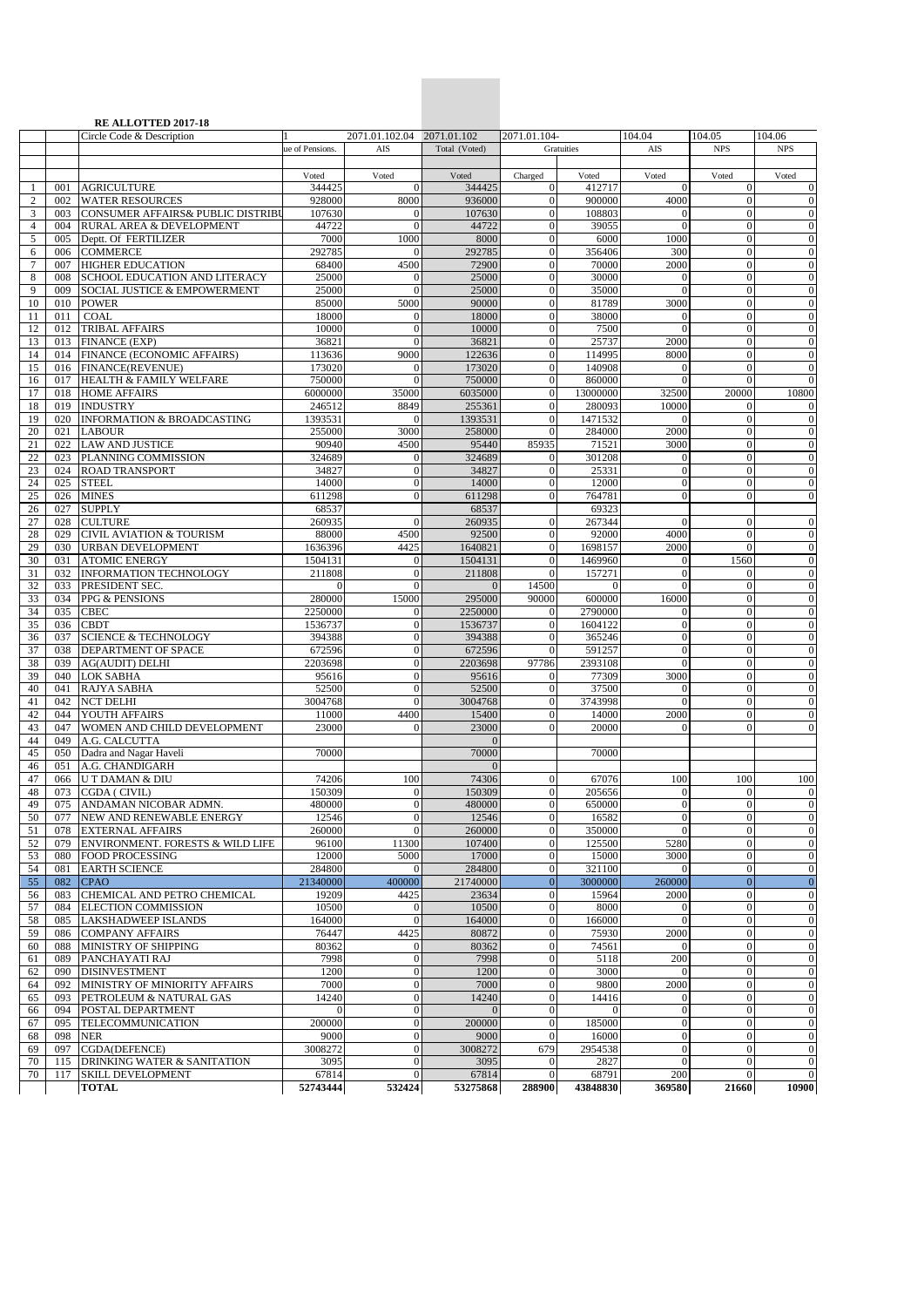|                |     | RE ALLOTTED 2017-18                     |                 |                            |               |                  |            |                  |                                |                  |
|----------------|-----|-----------------------------------------|-----------------|----------------------------|---------------|------------------|------------|------------------|--------------------------------|------------------|
|                |     | Circle Code & Description               |                 | 2071.01.102.04 2071.01.102 |               | 2071.01.104-     |            | 104.04           | 104.05                         | 104.06           |
|                |     |                                         | ue of Pensions. | AIS                        | Total (Voted) |                  | Gratuities | AIS              | <b>NPS</b>                     | <b>NPS</b>       |
|                |     |                                         |                 |                            |               |                  |            |                  |                                |                  |
|                |     |                                         | Voted           | Voted                      | Voted         | Charged          | Voted      | Voted            | Voted                          | Voted            |
| -1             | 001 | <b>AGRICULTURE</b>                      | 344425          | $\Omega$                   | 344425        | $\overline{0}$   | 412717     | $\Omega$         | $\mathbf{0}$                   | $\boldsymbol{0}$ |
| 2              | 002 | <b>WATER RESOURCES</b>                  | 928000          | 8000                       | 936000        | $\overline{0}$   | 900000     | 4000             | $\mathbf{0}$                   | $\theta$         |
| 3              | 003 | CONSUMER AFFAIRS& PUBLIC DISTRIBU       | 107630          | $\mathbf{0}$               | 107630        | $\overline{0}$   | 108803     | $\mathbf{0}$     | $\mathbf{0}$                   | $\mathbf{0}$     |
| $\overline{4}$ | 004 | RURAL AREA & DEVELOPMENT                | 44722           | $\Omega$                   | 44722         | $\overline{0}$   | 39055      | $\Omega$         | $\overline{0}$                 | $\overline{0}$   |
| 5              | 005 | Deptt. Of FERTILIZER                    | 7000            | 1000                       | 8000          | $\overline{0}$   | 6000       | 1000             | $\boldsymbol{0}$               | $\mathbf{0}$     |
| 6              | 006 | <b>COMMERCE</b>                         | 292785          | $\Omega$                   | 292785        | $\overline{0}$   | 356406     | 300              | $\overline{0}$                 | $\overline{0}$   |
| 7              | 007 | <b>HIGHER EDUCATION</b>                 | 68400           | 4500                       | 72900         | $\boldsymbol{0}$ | 70000      | 2000             | $\boldsymbol{0}$               | $\mathbf{0}$     |
| 8              | 008 | SCHOOL EDUCATION AND LITERACY           | 25000           | $\mathbf{0}$               | 25000         | $\overline{0}$   | 30000      | $\overline{0}$   | $\overline{0}$                 | $\overline{0}$   |
| 9              | 009 | <b>SOCIAL JUSTICE &amp; EMPOWERMENT</b> | 25000           | $\Omega$                   | 25000         | $\overline{0}$   | 35000      | $\theta$         | $\mathbf{0}$                   | $\overline{0}$   |
| 10             | 010 | <b>POWER</b>                            | 85000           | 5000                       | 90000         | $\boldsymbol{0}$ | 81789      | 3000             | $\boldsymbol{0}$               | $\mathbf{0}$     |
| 11             | 011 | COAL                                    | 18000           | $\overline{0}$             | 18000         | $\overline{0}$   | 38000      | $\mathbf{0}$     | $\mathbf{0}$                   | $\mathbf{0}$     |
| 12             | 012 | <b>TRIBAL AFFAIRS</b>                   | 10000           | $\Omega$                   | 10000         | $\overline{0}$   | 7500       | $\Omega$         | $\overline{0}$                 | $\mathbf{0}$     |
| 13             | 013 | <b>FINANCE (EXP)</b>                    | 36821           | $\mathbf{0}$               | 36821         | $\overline{0}$   | 25737      | 2000             | $\mathbf{0}$                   | $\mathbf{0}$     |
| 14             | 014 | FINANCE (ECONOMIC AFFAIRS)              | 113636          | 9000                       | 122636        | $\overline{0}$   | 114995     | 8000             | $\overline{0}$                 | $\overline{0}$   |
| 15             | 016 | FINANCE(REVENUE)                        | 173020          | $\overline{0}$             | 173020        | $\overline{0}$   | 140908     | $\theta$         | $\boldsymbol{0}$               | $\boldsymbol{0}$ |
| 16             | 017 | HEALTH & FAMILY WELFARE                 | 750000          | $\Omega$                   | 750000        | $\overline{0}$   | 860000     | $\Omega$         | $\theta$                       | $\overline{0}$   |
| 17             | 018 | <b>HOME AFFAIRS</b>                     | 6000000         | 35000                      | 6035000       | $\overline{0}$   | 13000000   | 32500            | 20000                          | 10800            |
|                |     |                                         |                 |                            |               |                  |            | 10000            |                                |                  |
| 18             | 019 | <b>INDUSTRY</b>                         | 246512          | 8849                       | 255361        | $\overline{0}$   | 280093     |                  | $\boldsymbol{0}$               | $\boldsymbol{0}$ |
| 19             | 020 | <b>INFORMATION &amp; BROADCASTING</b>   | 1393531         | $\mathbf{0}$               | 1393531       | $\overline{0}$   | 1471532    | $\mathbf{0}$     | $\mathbf{0}$                   | $\mathbf{0}$     |
| 20             | 021 | <b>LABOUR</b>                           | 255000          | 3000                       | 258000        | $\mathbf{0}$     | 284000     | 2000             | $\mathbf{0}$                   | $\overline{0}$   |
| 21             | 022 | <b>LAW AND JUSTICE</b>                  | 90940           | 4500                       | 95440         | 85935            | 71521      | 3000             | $\overline{0}$                 | $\overline{0}$   |
| 22             | 023 | PLANNING COMMISSION                     | 324689          | $\overline{0}$             | 324689        | $\overline{0}$   | 301208     | $\overline{0}$   | $\mathbf{0}$                   | $\boldsymbol{0}$ |
| 23             | 024 | <b>ROAD TRANSPORT</b>                   | 34827           | $\mathbf{0}$               | 34827         | $\overline{0}$   | 25331      | $\overline{0}$   | $\mathbf{0}$                   | $\overline{0}$   |
| 24             | 025 | <b>STEEL</b>                            | 14000           | $\overline{0}$             | 14000         | $\overline{0}$   | 12000      | $\overline{0}$   | $\mathbf{0}$                   | $\mathbf{0}$     |
| 25             | 026 | <b>MINES</b>                            | 611298          | $\Omega$                   | 611298        | $\overline{0}$   | 764781     | $\overline{0}$   | $\overline{0}$                 | $\overline{0}$   |
| 26             | 027 | <b>SUPPLY</b>                           | 68537           |                            | 68537         |                  | 69323      |                  |                                |                  |
| 27             | 028 | <b>CULTURE</b>                          | 260935          | $\mathbf{0}$               | 260935        | $\overline{0}$   | 267344     | $\Omega$         | $\mathbf{0}$                   | $\overline{0}$   |
| 28             | 029 | <b>CIVIL AVIATION &amp; TOURISM</b>     | 88000           | 4500                       | 92500         | $\overline{0}$   | 92000      | 4000             | $\mathbf{0}$                   | $\mathbf{0}$     |
| 29             | 030 | <b>URBAN DEVELOPMENT</b>                | 1636396         | 4425                       | 1640821       | $\overline{0}$   | 1698157    | 2000             | $\theta$                       | $\overline{0}$   |
| 30             | 031 | <b>ATOMIC ENERGY</b>                    | 1504131         | $\mathbf{0}$               | 1504131       | $\overline{0}$   | 1469960    | $\overline{0}$   | 1560                           | $\boldsymbol{0}$ |
| 31             | 032 | <b>INFORMATION TECHNOLOGY</b>           | 211808          | $\mathbf{0}$               | 211808        | $\overline{0}$   | 157271     | $\overline{0}$   | $\mathbf{0}$                   | $\boldsymbol{0}$ |
| 32             | 033 | PRESIDENT SEC.                          | $\mathbf{0}$    | $\mathbf{0}$               | $\mathbf{0}$  | 14500            | $\Omega$   | $\overline{0}$   | $\mathbf{0}$                   | $\mathbf{0}$     |
| 33             | 034 | PPG & PENSIONS                          | 280000          | 15000                      | 295000        | 90000            | 600000     | 16000            | $\overline{0}$                 | $\mathbf{0}$     |
| 34             | 035 | <b>CBEC</b>                             | 2250000         | $\mathbf{0}$               | 2250000       | $\mathbf{0}$     | 2790000    | $\mathbf{0}$     | $\mathbf{0}$                   | $\boldsymbol{0}$ |
| 35             | 036 | <b>CBDT</b>                             | 1536737         | $\Omega$                   | 1536737       | $\overline{0}$   | 1604122    | $\overline{0}$   | $\mathbf{0}$                   | $\boldsymbol{0}$ |
| 36             | 037 | <b>SCIENCE &amp; TECHNOLOGY</b>         | 394388          | $\mathbf{0}$               | 394388        | $\overline{0}$   | 365246     | $\theta$         | $\boldsymbol{0}$               | $\mathbf{0}$     |
| 37             | 038 | DEPARTMENT OF SPACE                     | 672596          | $\overline{0}$             | 672596        | $\overline{0}$   | 591257     | $\overline{0}$   | $\overline{0}$                 | $\mathbf{0}$     |
| 38             | 039 | <b>AG(AUDIT) DELHI</b>                  | 2203698         | $\mathbf{0}$               | 2203698       | 97786            | 2393108    | $\theta$         | $\mathbf{0}$                   | $\mathbf{0}$     |
| 39             | 040 | <b>LOK SABHA</b>                        | 95616           | $\mathbf{0}$               | 95616         | $\overline{0}$   | 77309      | 3000             | $\boldsymbol{0}$               | $\mathbf{0}$     |
| 40             | 041 | RAJYA SABHA                             | 52500           | $\mathbf{0}$               | 52500         | $\overline{0}$   | 37500      | $\mathbf{0}$     | $\mathbf{0}$                   | $\mathbf{0}$     |
| 41             | 042 | <b>NCT DELHI</b>                        | 3004768         | $\Omega$                   | 3004768       | $\overline{0}$   | 3743998    | $\theta$         | $\overline{0}$                 | $\mathbf{0}$     |
| 42             | 044 | YOUTH AFFAIRS                           | 11000           | 4400                       | 15400         | $\overline{0}$   | 14000      | 2000             | $\overline{0}$                 | $\theta$         |
| 43             | 047 | WOMEN AND CHILD DEVELOPMENT             | 23000           | $\Omega$                   | 23000         | $\overline{0}$   | 20000      | $\Omega$         | $\overline{0}$                 | $\boldsymbol{0}$ |
| 44             | 049 | A.G. CALCUTTA                           |                 |                            | $\Omega$      |                  |            |                  |                                |                  |
| 45             | 050 | Dadra and Nagar Haveli                  | 70000           |                            | 70000         |                  | 70000      |                  |                                |                  |
| 46             | 051 | A.G. CHANDIGARH                         |                 |                            |               |                  |            |                  |                                |                  |
| 47             | 066 | U T DAMAN & DIU                         | 74206           | 100                        | 74306         | $\boldsymbol{0}$ | 67076      | 100              | 100                            | 100              |
| 48             | 073 | CGDA (CIVIL)                            | 150309          | $\mathbf{0}$               | 150309        | $\overline{0}$   | 205656     | $\theta$         | $\mathbf{0}$                   | $\bf{0}$         |
| 49             | 075 | ANDAMAN NICOBAR ADMN.                   | 480000          | $\mathbf{0}$               | 480000        | $\overline{0}$   | 650000     | $\mathbf{0}$     | $\mathbf{0}$                   | $\overline{0}$   |
|                | 077 | NEW AND RENEWABLE ENERGY                | 12546           |                            | 12546         | $\vert$          | 16582      | $\boldsymbol{0}$ |                                | $\boldsymbol{0}$ |
| 50<br>51       | 078 | <b>EXTERNAL AFFAIRS</b>                 | 260000          | $\mathbf{0}$<br>$\Omega$   | 260000        | $\overline{0}$   | 350000     | $\Omega$         | $\mathbf{0}$<br>$\overline{0}$ | $\boldsymbol{0}$ |
|                |     | ENVIRONMENT. FORESTS & WILD LIFE        | 96100           |                            | 107400        | $\overline{0}$   |            | 5280             | $\boldsymbol{0}$               | $\theta$         |
| 52             | 079 |                                         |                 | 11300                      |               |                  | 125500     |                  |                                |                  |
| 53             | 080 | <b>FOOD PROCESSING</b>                  | 12000           | 5000                       | 17000         | $\mathbf{0}$     | 15000      | 3000             | $\mathbf{0}$                   | $\mathbf{0}$     |
| 54             | 081 | <b>EARTH SCIENCE</b>                    | 284800          | $\Omega$                   | 284800        | $\boldsymbol{0}$ | 321100     | $\theta$         | $\mathbf{0}$                   | $\overline{0}$   |
| 55             | 082 | <b>CPAO</b>                             | 21340000        | 400000                     | 21740000      | $\overline{0}$   | 3000000    | 260000           | $\boldsymbol{0}$               | $\mathbf{0}$     |
| 56             | 083 | CHEMICAL AND PETRO CHEMICAL             | 19209           | 4425                       | 23634         | $\mathbf{0}$     | 15964      | 2000             | $\boldsymbol{0}$               | $\boldsymbol{0}$ |
| 57             | 084 | <b>ELECTION COMMISSION</b>              | 10500           | $\overline{0}$             | 10500         | $\boldsymbol{0}$ | 8000       | $\theta$         | $\bf{0}$                       | $\boldsymbol{0}$ |
| 58             | 085 | LAKSHADWEEP ISLANDS                     | 164000          | $\mathbf{0}$               | 164000        | $\boldsymbol{0}$ | 166000     | $\overline{0}$   | $\overline{0}$                 | $\boldsymbol{0}$ |
| 59             | 086 | <b>COMPANY AFFAIRS</b>                  | 76447           | 4425                       | 80872         | $\boldsymbol{0}$ | 75930      | 2000             | $\mathbf{0}$                   | $\mathbf{0}$     |
| 60             | 088 | MINISTRY OF SHIPPING                    | 80362           | $\mathbf{0}$               | 80362         | $\boldsymbol{0}$ | 74561      | $\overline{0}$   | $\boldsymbol{0}$               | $\boldsymbol{0}$ |
| 61             | 089 | PANCHAYATI RAJ                          | 7998            | $\mathbf{0}$               | 7998          | $\boldsymbol{0}$ | 5118       | 200              | $\mathbf{0}$                   | $\boldsymbol{0}$ |
| 62             | 090 | <b>DISINVESTMENT</b>                    | 1200            | $\mathbf{0}$               | 1200          | $\boldsymbol{0}$ | 3000       | $\theta$         | $\boldsymbol{0}$               | $\theta$         |
| 64             | 092 | MINISTRY OF MINIORITY AFFAIRS           | 7000            | $\overline{0}$             | 7000          | $\overline{0}$   | 9800       | 2000             | $\overline{0}$                 | $\boldsymbol{0}$ |
| 65             | 093 | PETROLEUM & NATURAL GAS                 | 14240           | $\mathbf{0}$               | 14240         | $\mathbf{0}$     | 14416      | $\mathbf{0}$     | $\boldsymbol{0}$               | $\mathbf{0}$     |
| 66             | 094 | POSTAL DEPARTMENT                       | $\Omega$        | $\mathbf{0}$               | $\Omega$      | $\overline{0}$   | $\Omega$   | $\overline{0}$   | $\boldsymbol{0}$               | $\theta$         |
| 67             | 095 | TELECOMMUNICATION                       | 200000          | $\boldsymbol{0}$           | 200000        | $\boldsymbol{0}$ | 185000     | $\boldsymbol{0}$ | $\boldsymbol{0}$               | $\boldsymbol{0}$ |
| 68             | 098 | NER                                     | 9000            | $\overline{0}$             | 9000          | $\mathbf{0}$     | 16000      | $\overline{0}$   | $\mathbf{0}$                   | $\overline{0}$   |
| 69             | 097 | CGDA(DEFENCE)                           | 3008272         | $\mathbf{0}$               | 3008272       | 679              | 2954538    | $\boldsymbol{0}$ | $\boldsymbol{0}$               | $\boldsymbol{0}$ |
| 70             | 115 | DRINKING WATER & SANITATION             | 3095            | $\mathbf{0}$               | 3095          | $\overline{0}$   | 2827       | $\overline{0}$   | $\overline{0}$                 | $\overline{0}$   |
| 70             | 117 | SKILL DEVELOPMENT                       | 67814           | $\mathbf{0}$               | 67814         | $\boldsymbol{0}$ | 68791      | 200              | $\mathbf{0}$                   | $\mathbf{0}$     |
|                |     | <b>TOTAL</b>                            | 52743444        | 532424                     | 53275868      | 288900           | 43848830   | 369580           | 21660                          | 10900            |

**Central Pension Accounting Office**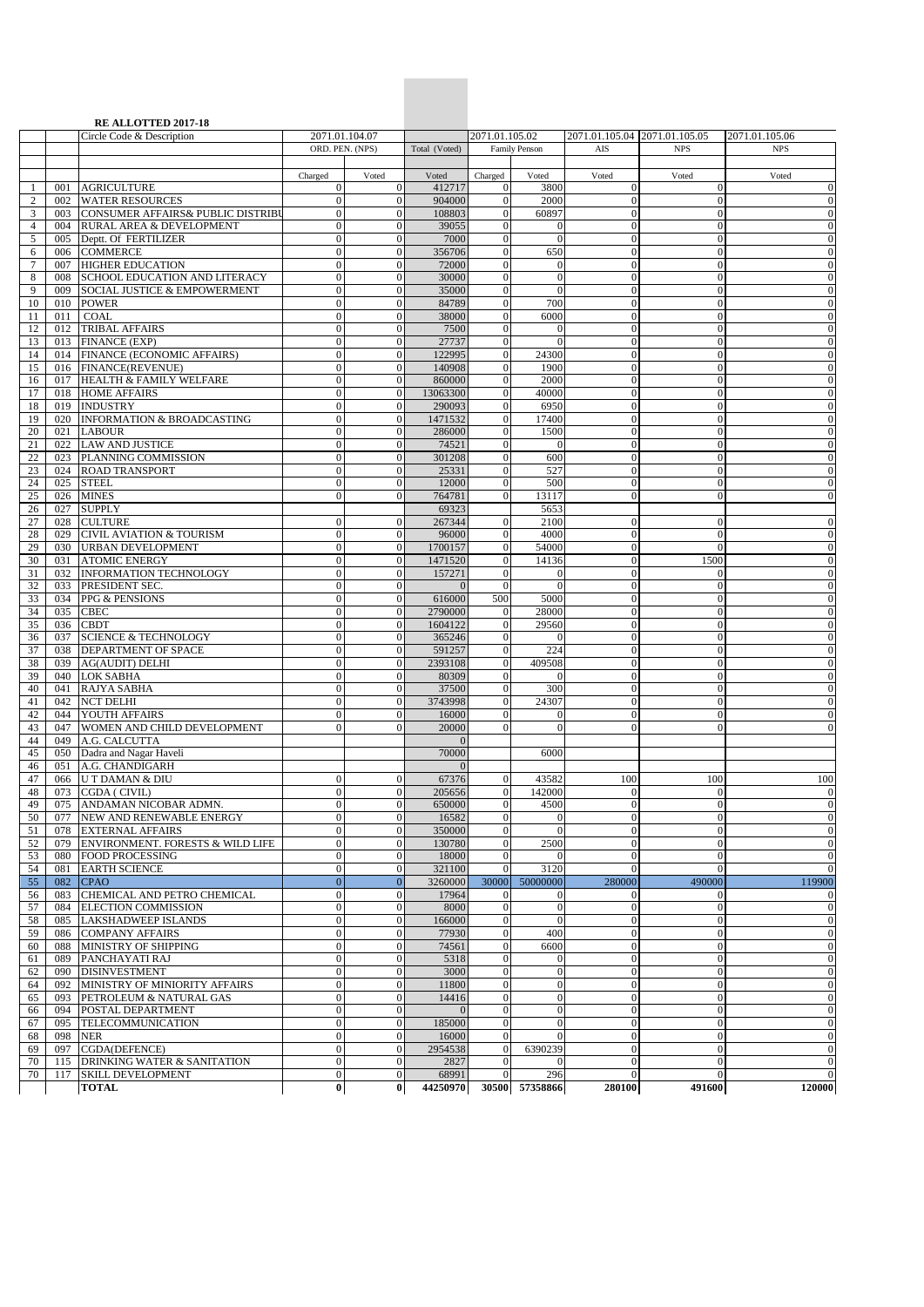|                     |            | <b>RE ALLOTTED 2017-18</b>                                 |                                  |                                    |                    |                                      |                                |                                  |                                  |                                      |
|---------------------|------------|------------------------------------------------------------|----------------------------------|------------------------------------|--------------------|--------------------------------------|--------------------------------|----------------------------------|----------------------------------|--------------------------------------|
|                     |            | Circle Code & Description                                  |                                  | 2071.01.104.07                     |                    | 2071.01.105.02                       |                                |                                  | 2071.01.105.04 2071.01.105.05    | 2071.01.105.06                       |
|                     |            |                                                            | ORD. PEN. (NPS)                  |                                    | Total (Voted)      |                                      | <b>Family Penson</b>           | AIS                              | <b>NPS</b>                       | <b>NPS</b>                           |
|                     |            |                                                            | Charged                          | Voted                              | Voted              | Charged                              | Voted                          | Voted                            | Voted                            | Voted                                |
| -1                  | 001        | <b>AGRICULTURE</b>                                         | $\overline{0}$                   | $\mathbf{0}$                       | 412717             | $\boldsymbol{0}$                     | 3800                           | $\mathbf{0}$                     | $\mathbf{0}$                     | $\boldsymbol{0}$                     |
| $\overline{c}$      | 002        | <b>WATER RESOURCES</b>                                     | $\overline{0}$                   | $\overline{0}$                     | 904000             | $\overline{0}$                       | 2000                           | $\mathbf{0}$                     | $\overline{0}$                   | $\theta$                             |
| 3                   | 003        | CONSUMER AFFAIRS& PUBLIC DISTRIBU                          | $\overline{0}$                   | $\mathbf{0}$                       | 108803             | $\mathbf{0}$                         | 60897                          | $\mathbf{0}$                     | $\overline{0}$                   | $\boldsymbol{0}$                     |
| $\overline{4}$      | 004        | RURAL AREA & DEVELOPMENT                                   | $\overline{0}$                   | $\overline{0}$                     | 39055              | $\mathbf{0}$                         | $\theta$                       | $\mathbf{0}$                     | $\mathbf{0}$                     | $\theta$                             |
| 5                   | 005        | Deptt. Of FERTILIZER                                       | $\overline{0}$<br>$\Omega$       | $\overline{0}$                     | 7000               | $\boldsymbol{0}$                     | $\theta$                       | $\mathbf{0}$                     | $\mathbf{0}$<br>$\overline{0}$   | $\boldsymbol{0}$                     |
| 6<br>$\overline{7}$ | 006<br>007 | <b>COMMERCE</b><br><b>HIGHER EDUCATION</b>                 | $\mathbf{0}$                     | $\overline{0}$<br>$\mathbf{0}$     | 356706<br>72000    | $\mathbf{0}$<br>$\mathbf{0}$         | 650<br>$\boldsymbol{0}$        | $\mathbf{0}$<br>$\mathbf{0}$     | $\mathbf{0}$                     | $\boldsymbol{0}$<br>$\boldsymbol{0}$ |
| 8                   | 008        | SCHOOL EDUCATION AND LITERACY                              | $\overline{0}$                   | $\mathbf{0}$                       | 30000              | $\mathbf{0}$                         | $\overline{0}$                 | $\mathbf{0}$                     | $\mathbf{0}$                     | $\theta$                             |
| 9                   | 009        | SOCIAL JUSTICE & EMPOWERMENT                               | $\mathbf{0}$                     | $\overline{0}$                     | 35000              | $\mathbf{0}$                         | $\theta$                       | $\mathbf{0}$                     | $\mathbf{0}$                     | $\boldsymbol{0}$                     |
| 10                  | 010        | <b>POWER</b>                                               | $\Omega$                         | $\mathbf{0}$                       | 84789              | $\overline{0}$                       | 700                            | $\mathbf{0}$                     | $\Omega$                         | $\boldsymbol{0}$                     |
| 11                  | 011        | <b>COAL</b>                                                | $\overline{0}$                   | $\mathbf{0}$                       | 38000              | $\overline{0}$                       | 6000                           | $\mathbf{0}$                     | $\mathbf{0}$                     | $\boldsymbol{0}$                     |
| 12                  | 012        | <b>TRIBAL AFFAIRS</b>                                      | $\mathbf{0}$                     | $\mathbf{0}$                       | 7500               | $\boldsymbol{0}$                     | $\Omega$                       | $\mathbf{0}$                     | $\mathbf{0}$                     | $\boldsymbol{0}$                     |
| 13                  | 013        | FINANCE (EXP)                                              | $\mathbf{0}$                     | $\overline{0}$                     | 27737              | $\mathbf{0}$                         | $\Omega$                       | $\mathbf{0}$                     | $\mathbf{0}$                     | $\boldsymbol{0}$                     |
| 14                  | 014        | FINANCE (ECONOMIC AFFAIRS)                                 | $\Omega$                         | $\overline{0}$                     | 122995             | $\boldsymbol{0}$                     | 24300                          | $\mathbf{0}$                     | $\mathbf{0}$                     | $\boldsymbol{0}$                     |
| 15                  | 016<br>017 | FINANCE(REVENUE)<br>HEALTH & FAMILY WELFARE                | $\overline{0}$<br>$\mathbf{0}$   | $\overline{0}$<br>$\overline{0}$   | 140908<br>860000   | $\boldsymbol{0}$<br>$\boldsymbol{0}$ | 1900<br>2000                   | $\mathbf{0}$<br>$\mathbf{0}$     | $\mathbf{0}$<br>$\mathbf{0}$     | $\boldsymbol{0}$<br>$\boldsymbol{0}$ |
| 16<br>17            | 018        | <b>HOME AFFAIRS</b>                                        | $\mathbf{0}$                     | $\boldsymbol{0}$                   | 13063300           | $\boldsymbol{0}$                     | 40000                          | $\boldsymbol{0}$                 | $\mathbf{0}$                     | $\boldsymbol{0}$                     |
| 18                  |            | 019 INDUSTRY                                               | $\overline{0}$                   | $\mathbf{0}$                       | 290093             | $\boldsymbol{0}$                     | 6950                           | $\mathbf{0}$                     | $\overline{0}$                   | $\boldsymbol{0}$                     |
| 19                  | 020        | <b>INFORMATION &amp; BROADCASTING</b>                      | $\Omega$                         | $\overline{0}$                     | 1471532            | $\mathbf{0}$                         | 17400                          | $\mathbf{0}$                     | $\mathbf{0}$                     | $\boldsymbol{0}$                     |
| 20                  | 021        | <b>LABOUR</b>                                              | $\mathbf{0}$                     | $\mathbf{0}$                       | 286000             | $\mathbf{0}$                         | 1500                           | $\mathbf{0}$                     | $\boldsymbol{0}$                 | $\boldsymbol{0}$                     |
| 21                  | 022        | <b>LAW AND JUSTICE</b>                                     | $\mathbf{0}$                     | $\mathbf{0}$                       | 74521              | $\mathbf{0}$                         | $\Omega$                       | $\mathbf{0}$                     | $\mathbf{0}$                     | $\theta$                             |
| 22                  | 023        | PLANNING COMMISSION                                        | $\mathbf{0}$                     | $\boldsymbol{0}$                   | 301208             | $\boldsymbol{0}$                     | 600                            | $\boldsymbol{0}$                 | $\theta$                         | $\boldsymbol{0}$                     |
| 23                  | 024        | <b>ROAD TRANSPORT</b>                                      | $\overline{0}$                   | $\overline{0}$                     | 25331              | $\overline{0}$                       | 527                            | $\mathbf{0}$                     | $\overline{0}$                   | $\theta$                             |
| 24                  | 025        | <b>STEEL</b>                                               | $\Omega$<br>$\Omega$             | $\mathbf{0}$                       | 12000              | $\theta$<br>$\mathbf{0}$             | 500                            | $\mathbf{0}$<br>$\mathbf{0}$     | $\overline{0}$<br>$\mathbf{0}$   | $\boldsymbol{0}$<br>$\theta$         |
| 25<br>26            | 026<br>027 | <b>MINES</b><br><b>SUPPLY</b>                              |                                  | $\mathbf{0}$                       | 764781<br>69323    |                                      | 13117<br>5653                  |                                  |                                  |                                      |
| 27                  | 028        | <b>CULTURE</b>                                             | $\Omega$                         | $\mathbf{0}$                       | 267344             | $\mathbf{0}$                         | 2100                           | $\mathbf{0}$                     | $\mathbf{0}$                     | $\theta$                             |
| 28                  | 029        | <b>CIVIL AVIATION &amp; TOURISM</b>                        | $\mathbf{0}$                     | $\mathbf{0}$                       | 96000              | $\mathbf{0}$                         | 4000                           | $\mathbf{0}$                     | $\theta$                         | $\boldsymbol{0}$                     |
| 29                  | 030        | <b>URBAN DEVELOPMENT</b>                                   | $\overline{0}$                   | $\mathbf{0}$                       | 1700157            | $\mathbf{0}$                         | 54000                          | $\mathbf{0}$                     | $\mathbf{0}$                     | $\theta$                             |
| 30                  | 031        | <b>ATOMIC ENERGY</b>                                       | $\overline{0}$                   | $\boldsymbol{0}$                   | 1471520            | $\boldsymbol{0}$                     | 14136                          | $\boldsymbol{0}$                 | 1500                             | $\boldsymbol{0}$                     |
| 31                  | 032        | <b>INFORMATION TECHNOLOGY</b>                              | $\overline{0}$                   | $\mathbf{0}$                       | 157271             | $\overline{0}$                       | $\Omega$                       | $\mathbf{0}$                     | $\mathbf{0}$                     | $\mathbf{0}$                         |
| 32                  | 033        | PRESIDENT SEC.                                             | $\Omega$                         | $\mathbf{0}$                       | $\Omega$           | $\mathbf{0}$                         | $\Omega$                       | $\mathbf{0}$                     | $\mathbf{0}$                     | $\boldsymbol{0}$                     |
| 33                  | 034        | PPG & PENSIONS                                             | $\mathbf{0}$<br>$\mathbf{0}$     | $\boldsymbol{0}$<br>$\overline{0}$ | 616000             | 500                                  | 5000                           | $\boldsymbol{0}$<br>$\mathbf{0}$ | $\mathbf{0}$                     | $\boldsymbol{0}$                     |
| 34<br>35            | 035<br>036 | <b>CBEC</b><br><b>CBDT</b>                                 | $\Omega$                         | $\overline{0}$                     | 2790000<br>1604122 | $\mathbf{0}$<br>$\mathbf{0}$         | 28000<br>29560                 | $\mathbf{0}$                     | $\mathbf{0}$<br>$\mathbf{0}$     | $\boldsymbol{0}$<br>$\boldsymbol{0}$ |
| 36                  | 037        | <b>SCIENCE &amp; TECHNOLOGY</b>                            | $\overline{0}$                   | $\overline{0}$                     | 365246             | $\boldsymbol{0}$                     | $\Omega$                       | $\mathbf{0}$                     | $\theta$                         | $\boldsymbol{0}$                     |
| 37                  | 038        | DEPARTMENT OF SPACE                                        | $\mathbf{0}$                     | $\mathbf{0}$                       | 591257             | $\mathbf{0}$                         | 224                            | $\boldsymbol{0}$                 | $\mathbf{0}$                     | $\boldsymbol{0}$                     |
| 38                  | 039        | <b>AG(AUDIT) DELHI</b>                                     | $\mathbf{0}$                     | $\boldsymbol{0}$                   | 2393108            | $\mathbf{0}$                         | 409508                         | $\boldsymbol{0}$                 | $\mathbf{0}$                     | $\boldsymbol{0}$                     |
| 39                  | 040        | <b>LOK SABHA</b>                                           | $\overline{0}$                   | $\mathbf{0}$                       | 80309              | $\mathbf{0}$                         | $\Omega$                       | $\mathbf{0}$                     | $\mathbf{0}$                     | $\mathbf{0}$                         |
| 40                  | 041        | RAJYA SABHA                                                | $\overline{0}$                   | $\overline{0}$                     | 37500              | $\boldsymbol{0}$                     | 300                            | $\mathbf{0}$                     | $\mathbf{0}$                     | $\boldsymbol{0}$                     |
| 41                  | 042        | <b>NCT DELHI</b>                                           | $\mathbf{0}$                     | $\mathbf{0}$                       | 3743998            | $\mathbf{0}$                         | 24307                          | $\mathbf{0}$                     | $\mathbf{0}$                     | $\boldsymbol{0}$                     |
| 42                  | 044        | YOUTH AFFAIRS                                              | $\overline{0}$                   | $\overline{0}$                     | 16000              | $\mathbf{0}$                         | $\mathbf{0}$                   | $\mathbf{0}$                     | $\mathbf{0}$                     | $\boldsymbol{0}$                     |
| 43<br>44            | 047<br>049 | WOMEN AND CHILD DEVELOPMENT<br>A.G. CALCUTTA               | $\Omega$                         | $\overline{0}$                     | 20000              | $\mathbf{0}$                         | $\theta$                       | $\mathbf{0}$                     | $\mathbf{0}$                     | $\boldsymbol{0}$                     |
| 45                  | 050        | Dadra and Nagar Haveli                                     |                                  |                                    | 70000              |                                      | 6000                           |                                  |                                  |                                      |
| 46                  | 051        | A.G. CHANDIGARH                                            |                                  |                                    | $\Omega$           |                                      |                                |                                  |                                  |                                      |
| 47                  | 066        | <b>UT DAMAN &amp; DIU</b>                                  | $\overline{0}$                   | $\mathbf{0}$                       | 67376              | $\boldsymbol{0}$                     | 43582                          | 100                              | 100                              | 100                                  |
| 48                  |            | 073 CGDA (CIVIL)                                           | $\Omega$                         | $\mathbf{0}$                       | 205656             | $\mathbf{0}$                         | 142000                         | $\mathbf{0}$                     | $\Omega$                         | $\boldsymbol{0}$                     |
| 49                  |            | 075 ANDAMAN NICOBAR ADMN.                                  | $\Omega$                         | $\overline{0}$                     | 650000             | $\theta$                             | 4500                           | $\overline{0}$                   | $\overline{0}$                   | $\theta$                             |
| 50                  | 077        | NEW AND RENEWABLE ENERGY                                   | $\mathbf{0}$                     | $\overline{0}$                     | 16582              | $\mathbf{0}$                         | $\mathbf{0}$                   | $\boldsymbol{0}$                 | $\overline{0}$                   | $\bf{0}$                             |
| 51                  | 078        | <b>EXTERNAL AFFAIRS</b>                                    | $\overline{0}$<br>$\overline{0}$ | $\boldsymbol{0}$                   | 350000             | $\mathbf{0}$                         | $\overline{0}$                 | $\boldsymbol{0}$                 | $\overline{0}$<br>$\overline{0}$ | $\boldsymbol{0}$                     |
| 52                  | 079<br>080 | ENVIRONMENT. FORESTS & WILD LIFE<br><b>FOOD PROCESSING</b> | $\mathbf{0}$                     | $\boldsymbol{0}$<br>$\mathbf{0}$   | 130780<br>18000    | $\boldsymbol{0}$<br>$\mathbf{0}$     | 2500<br>$\theta$               | $\mathbf{0}$<br>$\mathbf{0}$     | $\mathbf{0}$                     | $\theta$<br>$\boldsymbol{0}$         |
| 53<br>54            | 081        | <b>EARTH SCIENCE</b>                                       | $\mathbf{0}$                     | $\mathbf{0}$                       | 321100             | $\mathbf{0}$                         | 3120                           | $\mathbf{0}$                     | $\mathbf{0}$                     | $\boldsymbol{0}$                     |
| 55                  | 082        | <b>CPAO</b>                                                | $\overline{0}$                   | $\overline{0}$                     | 3260000            | 30000                                | 50000000                       | 280000                           | 490000                           | 119900                               |
| 56                  | 083        | CHEMICAL AND PETRO CHEMICAL                                | $\mathbf{0}$                     | $\mathbf{0}$                       | 17964              | $\mathbf{0}$                         | $\theta$                       | $\mathbf{0}$                     | $\overline{0}$                   | $\boldsymbol{0}$                     |
| 57                  | 084        | <b>ELECTION COMMISSION</b>                                 | $\overline{0}$                   | $\overline{0}$                     | 8000               | $\boldsymbol{0}$                     | $\overline{0}$                 | $\boldsymbol{0}$                 | $\mathbf{0}$                     | $\boldsymbol{0}$                     |
| 58                  | 085        | LAKSHADWEEP ISLANDS                                        | $\mathbf{0}$                     | $\mathbf{0}$                       | 166000             | $\mathbf{0}$                         | $\overline{0}$                 | $\boldsymbol{0}$                 | $\mathbf{0}$                     | $\boldsymbol{0}$                     |
| 59                  | 086        | <b>COMPANY AFFAIRS</b>                                     | $\mathbf{0}$                     | $\boldsymbol{0}$                   | 77930              | $\mathbf{0}$                         | 400                            | $\mathbf{0}$                     | $\mathbf{0}$                     | $\mathbf{0}$                         |
| 60                  | 088        | MINISTRY OF SHIPPING                                       | $\mathbf{0}$                     | $\boldsymbol{0}$                   | 74561              | $\boldsymbol{0}$                     | 6600                           | $\boldsymbol{0}$                 | $\mathbf{0}$                     | $\boldsymbol{0}$                     |
| 61                  | 089        | PANCHAYATI RAJ                                             | $\mathbf{0}$<br>$\mathbf{0}$     | $\mathbf{0}$<br>$\mathbf{0}$       | 5318<br>3000       | $\mathbf{0}$<br>$\mathbf{0}$         | $\overline{0}$<br>$\mathbf{0}$ | $\mathbf{0}$                     | $\theta$                         | $\boldsymbol{0}$                     |
| 62<br>64            | 090<br>092 | <b>DISINVESTMENT</b><br>MINISTRY OF MINIORITY AFFAIRS      | $\mathbf{0}$                     | $\mathbf{0}$                       | 11800              | $\mathbf{0}$                         | $\mathbf{0}$                   | $\boldsymbol{0}$<br>$\mathbf{0}$ | $\mathbf{0}$<br>$\overline{0}$   | $\boldsymbol{0}$<br>$\boldsymbol{0}$ |
| 65                  | 093        | PETROLEUM & NATURAL GAS                                    | $\mathbf{0}$                     | $\boldsymbol{0}$                   | 14416              | $\mathbf{0}$                         | $\boldsymbol{0}$               | $\mathbf{0}$                     | $\overline{0}$                   | $\boldsymbol{0}$                     |
| 66                  | 094        | POSTAL DEPARTMENT                                          | $\overline{0}$                   | $\boldsymbol{0}$                   | $\mathbf{0}$       | $\boldsymbol{0}$                     | $\mathbf{0}$                   | $\boldsymbol{0}$                 | $\overline{0}$                   | $\theta$                             |
| 67                  | 095        | TELECOMMUNICATION                                          | $\overline{0}$                   | $\mathbf{0}$                       | 185000             | $\mathbf{0}$                         | $\overline{0}$                 | $\mathbf{0}$                     | $\mathbf{0}$                     | $\boldsymbol{0}$                     |
| 68                  | 098        | <b>NER</b>                                                 | $\overline{0}$                   | $\mathbf{0}$                       | 16000              | $\mathbf{0}$                         | $\mathbf{0}$                   | $\mathbf{0}$                     | $\overline{0}$                   | $\overline{0}$                       |
| 69                  | 097        | CGDA(DEFENCE)                                              | $\mathbf{0}$                     | $\mathbf{0}$                       | 2954538            | $\mathbf{0}$                         | 6390239                        | $\boldsymbol{0}$                 | $\overline{0}$                   | $\boldsymbol{0}$                     |
| 70                  | 115        | DRINKING WATER & SANITATION                                | $\overline{0}$                   | $\boldsymbol{0}$                   | 2827               | $\theta$                             | $\mathbf{0}$                   | $\boldsymbol{0}$                 | $\overline{0}$                   | $\boldsymbol{0}$                     |
| 70                  | 117        | SKILL DEVELOPMENT                                          | $\mathbf{0}$                     | $\mathbf{0}$                       | 68991              | $\mathbf{0}$                         | 296                            | $\boldsymbol{0}$                 | $\overline{0}$                   | $\overline{0}$                       |
|                     |            | <b>TOTAL</b>                                               | $\bf{0}$                         | $\bf{0}$                           | 44250970           |                                      | 30500 57358866                 | 280100                           | 491600                           | 120000                               |

**Central Pension Accounting Office**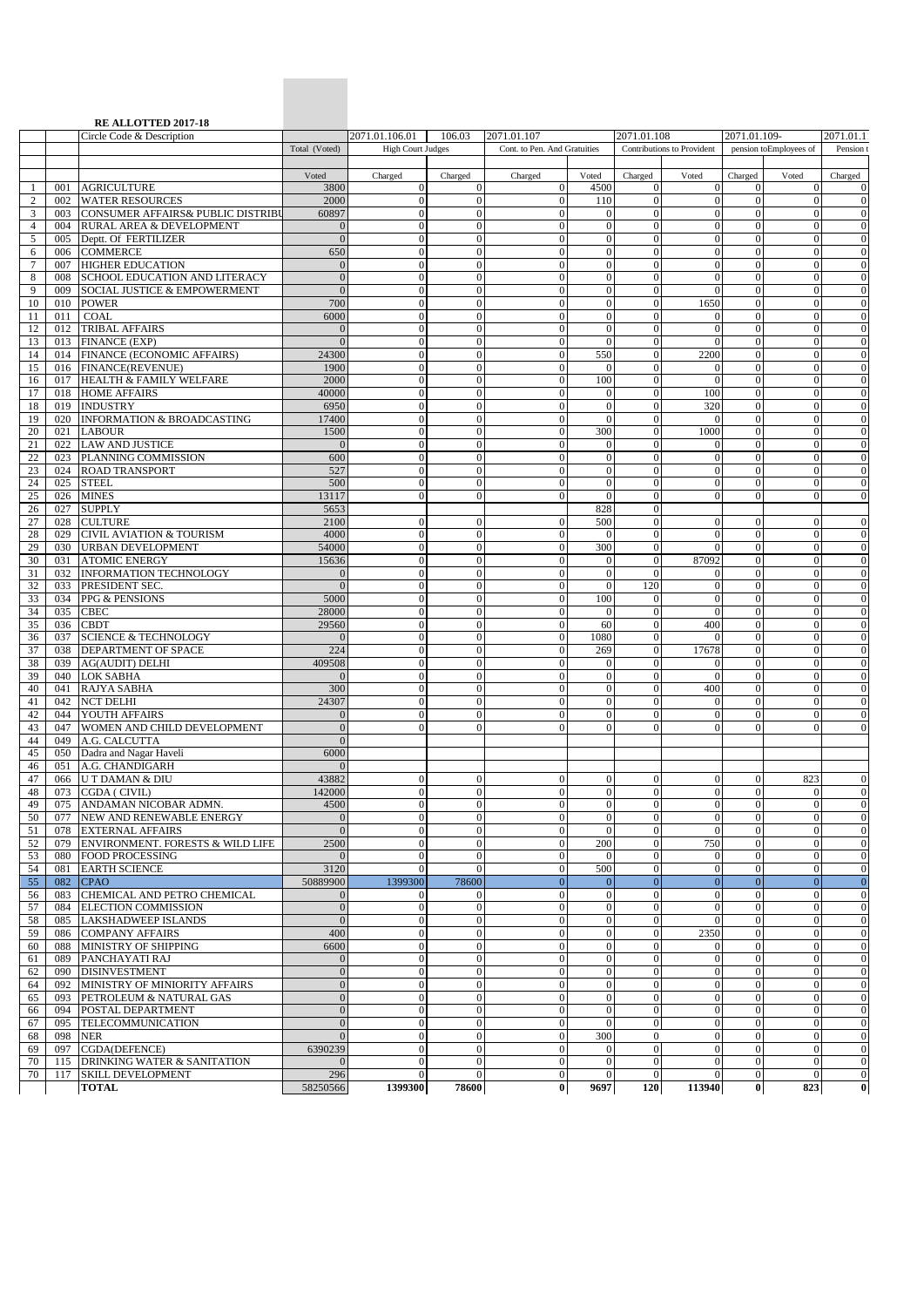|                     |            | <b>RE ALLOTTED 2017-18</b><br>Circle Code & Description         |                                      | 2071.01.106.01                 | 106.03                               | 2071.01.107                          |                                  | 2071.01.108                      |                                  | 2071.01.109-                     | 2071.01.1                        |                            |
|---------------------|------------|-----------------------------------------------------------------|--------------------------------------|--------------------------------|--------------------------------------|--------------------------------------|----------------------------------|----------------------------------|----------------------------------|----------------------------------|----------------------------------|----------------------------|
|                     |            |                                                                 | Total (Voted)                        | <b>High Court Judges</b>       |                                      | Cont. to Pen. And Gratuities         |                                  | Contributions to Provident       |                                  | pension toEmployees of           |                                  | Pension t                  |
|                     |            |                                                                 |                                      |                                |                                      |                                      |                                  |                                  |                                  |                                  |                                  |                            |
| -1                  | 001        | <b>AGRICULTURE</b>                                              | Voted<br>3800                        | Charged<br>$\Omega$            | Charged<br>$\mathbf{0}$              | Charged<br>$\mathbf{0}$              | Voted<br>4500                    | Charged<br>$\overline{0}$        | Voted<br>$\overline{0}$          | Charged<br>$\overline{0}$        | Voted<br>$\Omega$                | Charged<br>$\Omega$        |
| 2                   | 002        | <b>WATER RESOURCES</b>                                          | 2000                                 | $\overline{0}$                 | $\boldsymbol{0}$                     | $\mathbf{0}$                         | 110                              | $\overline{0}$                   | $\theta$                         | $\overline{0}$                   | $\overline{0}$                   | $\theta$                   |
| 3                   | 003        | CONSUMER AFFAIRS& PUBLIC DISTRIBU                               | 60897                                | $\Omega$                       | $\mathbf{0}$                         | $\mathbf{0}$                         | $\theta$                         | $\overline{0}$                   | $\mathbf{0}$                     | $\overline{0}$                   | $\Omega$                         | $\Omega$                   |
| $\overline{4}$<br>5 | 004<br>005 | RURAL AREA & DEVELOPMENT                                        | $\mathbf{0}$<br>$\overline{0}$       | $\Omega$<br>$\Omega$           | $\boldsymbol{0}$<br>$\boldsymbol{0}$ | $\overline{0}$<br>$\overline{0}$     | $\mathbf{0}$<br>$\mathbf{0}$     | $\overline{0}$<br>$\Omega$       | $\overline{0}$<br>$\mathbf{0}$   | $\overline{0}$<br>$\overline{0}$ | $\mathbf{0}$<br>$\Omega$         | $\Omega$<br>$\Omega$       |
| 6                   | 006        | Deptt. Of FERTILIZER<br><b>COMMERCE</b>                         | 650                                  | $\overline{0}$                 | $\boldsymbol{0}$                     | $\mathbf{0}$                         | $\mathbf{0}$                     | $\overline{0}$                   | $\mathbf{0}$                     | $\overline{0}$                   | $\overline{0}$                   | $\theta$                   |
| 7                   | 007        | <b>HIGHER EDUCATION</b>                                         | $\theta$                             | $\Omega$                       | $\overline{0}$                       | $\overline{0}$                       | $\mathbf{0}$                     | $\Omega$                         | $\mathbf{0}$                     | $\overline{0}$                   | $\Omega$                         | $\Omega$                   |
| 8                   | 008        | <b>SCHOOL EDUCATION AND LITERACY</b>                            | $\overline{0}$                       | $\overline{0}$                 | $\boldsymbol{0}$                     | $\mathbf{0}$                         | $\mathbf{0}$                     | $\Omega$                         | $\mathbf{0}$                     | $\overline{0}$                   | $\overline{0}$                   | $\theta$                   |
| 9                   | 009        | SOCIAL JUSTICE & EMPOWERMENT                                    | $\mathbf{0}$                         | $\mathbf{0}$                   | $\boldsymbol{0}$                     | $\boldsymbol{0}$                     | $\mathbf{0}$                     | $\overline{0}$                   | $\theta$                         | $\overline{0}$                   | $\mathbf{0}$                     | $\Omega$                   |
| 10<br>11            | 010<br>011 | <b>POWER</b><br><b>COAL</b>                                     | 700<br>6000                          | $\mathbf{0}$<br>$\mathbf{0}$   | $\overline{0}$<br>$\boldsymbol{0}$   | $\mathbf{0}$<br>$\boldsymbol{0}$     | $\mathbf{0}$<br>$\mathbf{0}$     | $\overline{0}$<br>$\overline{0}$ | 1650<br>$\mathbf{0}$             | $\overline{0}$<br>$\overline{0}$ | $\overline{0}$<br>$\mathbf{0}$   | $\theta$<br>$\theta$       |
| 12                  | 012        | <b>TRIBAL AFFAIRS</b>                                           | $\theta$                             | $\Omega$                       | $\overline{0}$                       | $\mathbf{0}$                         | $\mathbf{0}$                     | $\overline{0}$                   | $\mathbf{0}$                     | $\overline{0}$                   | $\Omega$                         | $\Omega$                   |
| 13                  |            | 013 FINANCE (EXP)                                               | $\Omega$                             | $\Omega$                       | $\boldsymbol{0}$                     | $\boldsymbol{0}$                     | $\theta$                         | $\overline{0}$                   | $\mathbf{0}$                     | $\overline{0}$                   | $\overline{0}$                   | $\theta$                   |
| 14                  |            | 014 FINANCE (ECONOMIC AFFAIRS)                                  | 24300                                | $\mathbf{0}$                   | $\overline{0}$                       | $\mathbf{0}$                         | 550                              | $\overline{0}$                   | 2200                             | $\overline{0}$                   | $\overline{0}$                   | $\overline{0}$             |
| 15                  |            | 016 FINANCE(REVENUE)                                            | 1900                                 | $\mathbf{0}$                   | $\boldsymbol{0}$                     | $\boldsymbol{0}$                     | $\mathbf{0}$                     | $\overline{0}$                   | $\mathbf{0}$                     | $\overline{0}$                   | $\overline{0}$                   | $\theta$                   |
| 16<br>17            |            | 017 HEALTH & FAMILY WELFARE<br>018 HOME AFFAIRS                 | 2000<br>40000                        | $\Omega$<br>$\mathbf{0}$       | $\overline{0}$<br>$\mathbf{0}$       | $\overline{0}$<br>$\boldsymbol{0}$   | 100<br>$\overline{0}$            | $\overline{0}$<br>$\overline{0}$ | $\mathbf{0}$<br>100              | $\overline{0}$<br>$\mathbf{0}$   | $\Omega$<br>$\overline{0}$       | $\theta$<br>$\overline{0}$ |
| 18                  |            | 019 INDUSTRY                                                    | 6950                                 | $\Omega$                       | $\boldsymbol{0}$                     | $\overline{0}$                       | $\theta$                         | $\overline{0}$                   | 320                              | $\overline{0}$                   | $\overline{0}$                   | $\theta$                   |
| 19                  |            | 020 INFORMATION & BROADCASTING                                  | 17400                                | $\mathbf{0}$                   | $\boldsymbol{0}$                     | $\boldsymbol{0}$                     | $\mathbf{0}$                     | $\overline{0}$                   | $\mathbf{0}$                     | $\overline{0}$                   | $\mathbf{0}$                     | $\theta$                   |
| 20                  | 021        | <b>LABOUR</b>                                                   | 1500                                 | $\Omega$                       | $\overline{0}$                       | $\overline{0}$                       | 300                              | $\overline{0}$                   | 1000                             | $\overline{0}$                   | $\Omega$                         | $\Omega$                   |
| 21                  | 022        | <b>LAW AND JUSTICE</b>                                          | $\sqrt{ }$                           | $\mathbf{0}$                   | $\boldsymbol{0}$                     | $\mathbf{0}$                         | $\mathbf{0}$                     | $\Omega$                         | $\mathbf{0}$                     | $\overline{0}$                   | $\mathbf{0}$                     | $\theta$                   |
| 22<br>23            | 023        | PLANNING COMMISSION<br>024 ROAD TRANSPORT                       | 600<br>527                           | $\mathbf{0}$<br>$\overline{0}$ | $\boldsymbol{0}$<br>$\boldsymbol{0}$ | $\overline{0}$<br>$\mathbf{0}$       | $\boldsymbol{0}$<br>$\mathbf{0}$ | $\overline{0}$<br>$\overline{0}$ | $\mathbf{0}$<br>$\theta$         | $\overline{0}$<br>$\overline{0}$ | $\mathbf{0}$<br>$\overline{0}$   | $\Omega$<br>$\theta$       |
| 24                  | 025        | <b>STEEL</b>                                                    | 500                                  | $\Omega$                       | $\overline{0}$                       | $\mathbf{0}$                         | $\Omega$                         | $\Omega$                         | $\Omega$                         | $\overline{0}$                   | $\Omega$                         | $\Omega$                   |
| 25                  | 026        | <b>MINES</b>                                                    | 13117                                | $\Omega$                       | $\boldsymbol{0}$                     | $\mathbf{0}$                         | $\mathbf{0}$                     | $\overline{0}$                   | $\mathbf{0}$                     | $\overline{0}$                   | $\mathbf{0}$                     | $\Omega$                   |
| 26                  | 027        | <b>SUPPLY</b>                                                   | 5653                                 |                                |                                      |                                      | 828                              | $\Omega$                         |                                  |                                  |                                  |                            |
| 27                  | 028        | <b>CULTURE</b>                                                  | 2100                                 | $\mathbf{0}$<br>$\Omega$       | $\boldsymbol{0}$                     | $\mathbf{0}$                         | 500                              | $\overline{0}$<br>$\overline{0}$ | $\mathbf{0}$                     | $\overline{0}$<br>$\overline{0}$ | $\mathbf{0}$<br>$\Omega$         | $\theta$                   |
| 28<br>29            | 030        | 029 CIVIL AVIATION & TOURISM<br><b>URBAN DEVELOPMENT</b>        | 4000<br>54000                        | $\mathbf{0}$                   | $\overline{0}$<br>$\boldsymbol{0}$   | $\mathbf{0}$<br>$\mathbf{0}$         | $\mathbf{0}$<br>300              | $\Omega$                         | $\mathbf{0}$<br>$\Omega$         | $\Omega$                         | $\mathbf{0}$                     | $\Omega$<br>$\theta$       |
| 30                  | 031        | <b>ATOMIC ENERGY</b>                                            | 15636                                | $\theta$                       | $\boldsymbol{0}$                     | $\mathbf{0}$                         | $\mathbf{0}$                     | $\mathbf{0}$                     | 87092                            | $\mathbf{0}$                     | $\overline{0}$                   | $\Omega$                   |
| 31                  | 032        | <b>INFORMATION TECHNOLOGY</b>                                   | $\theta$                             | $\mathbf{0}$                   | $\boldsymbol{0}$                     | $\mathbf{0}$                         | $\theta$                         | $\Omega$                         | $\theta$                         | $\overline{0}$                   | $\overline{0}$                   | $\theta$                   |
| 32                  | 033        | PRESIDENT SEC.                                                  | $\overline{0}$                       | $\mathbf{0}$                   | $\boldsymbol{0}$                     | $\boldsymbol{0}$                     | $\mathbf{0}$                     | 120                              | $\mathbf{0}$                     | $\overline{0}$                   | $\mathbf{0}$                     | $\theta$                   |
| 33                  | 034        | PPG & PENSIONS                                                  | 5000                                 | $\Omega$                       | $\overline{0}$                       | $\overline{0}$                       | 100                              | $\overline{0}$                   | $\mathbf{0}$                     | $\overline{0}$                   | $\Omega$                         | $\Omega$                   |
| 34<br>35            | 035<br>036 | <b>CBEC</b><br><b>CBDT</b>                                      | 28000<br>29560                       | $\Omega$<br>$\mathbf{0}$       | $\boldsymbol{0}$<br>$\boldsymbol{0}$ | $\boldsymbol{0}$<br>$\mathbf{0}$     | $\overline{0}$<br>60             | $\overline{0}$<br>$\overline{0}$ | $\theta$<br>400                  | $\overline{0}$<br>$\overline{0}$ | $\overline{0}$<br>$\overline{0}$ | $\theta$<br>$\theta$       |
| 36                  | 037        | <b>SCIENCE &amp; TECHNOLOGY</b>                                 | $\theta$                             | $\mathbf{0}$                   | $\boldsymbol{0}$                     | $\boldsymbol{0}$                     | 1080                             | $\overline{0}$                   | $\mathbf{0}$                     | $\overline{0}$                   | $\overline{0}$                   | $\theta$                   |
| 37                  | 038        | <b>DEPARTMENT OF SPACE</b>                                      | 224                                  | $\Omega$                       | $\overline{0}$                       | $\overline{0}$                       | 269                              | $\overline{0}$                   | 17678                            | $\overline{0}$                   | $\Omega$                         | $\theta$                   |
| 38                  | 039        | <b>AG(AUDIT) DELHI</b>                                          | 409508                               | $\mathbf{0}$                   | $\mathbf{0}$                         | $\boldsymbol{0}$                     | $\mathbf{0}$                     | $\overline{0}$                   | $\mathbf{0}$                     | $\overline{0}$                   | $\overline{0}$                   | $\theta$                   |
| 39<br>40            | 041        | 040 LOK SABHA<br>RAJYA SABHA                                    | $\Omega$<br>300                      | $\Omega$<br>$\mathbf{0}$       | $\overline{0}$<br>$\boldsymbol{0}$   | $\overline{0}$<br>$\boldsymbol{0}$   | $\theta$<br>$\mathbf{0}$         | $\overline{0}$<br>$\overline{0}$ | $\theta$<br>400                  | $\overline{0}$<br>$\mathbf{0}$   | $\overline{0}$<br>$\mathbf{0}$   | $\theta$<br>$\theta$       |
| 41                  | 042        | <b>NCT DELHI</b>                                                | 24307                                | $\Omega$                       | $\mathbf{0}$                         | $\overline{0}$                       | $\mathbf{0}$                     | $\Omega$                         | $\mathbf{0}$                     | $\overline{0}$                   | $\Omega$                         | $\Omega$                   |
| 42                  |            | 044 YOUTH AFFAIRS                                               | $\overline{0}$                       | $\Omega$                       | $\mathbf{0}$                         | $\overline{0}$                       | $\mathbf{0}$                     | $\Omega$                         | $\mathbf{0}$                     | $\overline{0}$                   | $\Omega$                         | $\overline{0}$             |
| 43                  | 047        | WOMEN AND CHILD DEVELOPMENT                                     | $\mathbf{0}$                         | $\Omega$                       | $\overline{0}$                       | $\Omega$                             | $\Omega$                         | $\Omega$                         | $\Omega$                         | $\overline{0}$                   | $\Omega$                         | $\Omega$                   |
| 44                  | 049        | A.G. CALCUTTA                                                   | $\overline{0}$                       |                                |                                      |                                      |                                  |                                  |                                  |                                  |                                  |                            |
| 45<br>46            | 051        | 050 Dadra and Nagar Haveli<br>A.G. CHANDIGARH                   | 6000<br>$\mathbf{0}$                 |                                |                                      |                                      |                                  |                                  |                                  |                                  |                                  |                            |
| 47                  |            | 066 U T DAMAN & DIU                                             | 43882                                | $\overline{0}$                 | $\bf{0}$                             | $\bf{0}$                             | $\mathbf{0}$                     | $\mathbf{0}$                     | $\mathbf{0}$                     | $\mathbf{0}$                     | 823                              | $\mathbf{0}$               |
| 48                  |            | 073 CGDA ( CIVIL)                                               | 142000                               | $\overline{0}$                 | $\boldsymbol{0}$                     | $\mathbf{0}$                         | $\mathbf{0}$                     | $\overline{0}$                   | $\mathbf{0}$                     | $\overline{0}$                   | $\overline{0}$                   | $\mathbf{0}$               |
| 49                  |            | 075 ANDAMAN NICOBAR ADMN.                                       | 4500                                 | $\Omega$                       | $\overline{0}$                       | $\boldsymbol{0}$                     | $\mathbf{0}$                     | $\overline{0}$                   | $\overline{0}$                   | $\overline{0}$                   | $\overline{0}$                   | $\Omega$                   |
| 50                  | 077        | NEW AND RENEWABLE ENERGY                                        | $\overline{0}$<br>$\overline{0}$     | $\Omega$<br>$\overline{0}$     | $\boldsymbol{0}$                     | $\mathbf{0}$                         | $\mathbf{0}$                     | $\overline{0}$<br>$\mathbf{0}$   | $\mathbf{0}$<br>$\Omega$         | $\overline{0}$<br>$\mathbf{0}$   | $\mathbf{0}$<br>$\overline{0}$   | $\theta$<br>$\Omega$       |
| 51<br>52            | 078        | <b>EXTERNAL AFFAIRS</b><br>079 ENVIRONMENT. FORESTS & WILD LIFE | 2500                                 | $\overline{0}$                 | $\boldsymbol{0}$<br>$\mathbf{0}$     | $\boldsymbol{0}$<br>$\mathbf{0}$     | $\mathbf{0}$<br>200              | $\overline{0}$                   | 750                              | $\overline{0}$                   | $\overline{0}$                   | $\theta$                   |
| 53                  | 080        | <b>FOOD PROCESSING</b>                                          | $\theta$                             | $\mathbf{0}$                   | $\boldsymbol{0}$                     | $\boldsymbol{0}$                     | $\overline{0}$                   | $\overline{0}$                   | $\mathbf{0}$                     | $\overline{0}$                   | $\mathbf{0}$                     | $\theta$                   |
| 54                  | 081        | <b>EARTH SCIENCE</b>                                            | 3120                                 | $\Omega$                       | $\overline{0}$                       | $\boldsymbol{0}$                     | 500                              | $\overline{0}$                   | $\mathbf{0}$                     | $\overline{0}$                   | $\Omega$                         | $\Omega$                   |
| 55                  | 082        | <b>CPAO</b>                                                     | 50889900                             | 1399300                        | 78600                                | $\mathbf{0}$                         | $\mathbf{0}$                     | $\overline{0}$                   | $\mathbf{0}$                     | $\mathbf{0}$                     | $\overline{0}$                   | $\overline{0}$             |
| 56<br>57            | 083<br>084 | CHEMICAL AND PETRO CHEMICAL<br><b>ELECTION COMMISSION</b>       | $\mathbf{0}$<br>$\mathbf{0}$         | $\theta$<br>$\overline{0}$     | $\mathbf{0}$<br>$\mathbf{0}$         | $\boldsymbol{0}$<br>$\boldsymbol{0}$ | $\mathbf{0}$<br>$\boldsymbol{0}$ | $\overline{0}$<br>$\overline{0}$ | $\theta$<br>$\mathbf{0}$         | $\mathbf{0}$<br>$\overline{0}$   | $\overline{0}$<br>$\overline{0}$ | $\theta$<br>$\theta$       |
| 58                  | 085        | <b>LAKSHADWEEP ISLANDS</b>                                      | $\overline{0}$                       | $\Omega$                       | $\mathbf{0}$                         | $\overline{0}$                       | $\mathbf{0}$                     | $\overline{0}$                   | $\mathbf{0}$                     | $\overline{0}$                   | $\Omega$                         | $\overline{0}$             |
| 59                  | 086        | <b>COMPANY AFFAIRS</b>                                          | 400                                  | $\overline{0}$                 | $\boldsymbol{0}$                     | $\boldsymbol{0}$                     | $\mathbf{0}$                     | $\mathbf{0}$                     | 2350                             | $\overline{0}$                   | $\mathbf{0}$                     | $\theta$                   |
| 60                  | 088        | MINISTRY OF SHIPPING                                            | 6600                                 | $\Omega$                       | $\mathbf{0}$                         | $\overline{0}$                       | $\theta$                         | $\overline{0}$                   | $\theta$                         | $\overline{0}$                   | $\overline{0}$                   | $\theta$                   |
| 61                  | 089        | PANCHAYATI RAJ                                                  | $\mathbf{0}$                         | $\mathbf{0}$<br>$\Omega$       | $\mathbf{0}$                         | $\boldsymbol{0}$<br>$\overline{0}$   | $\boldsymbol{0}$                 | $\overline{0}$<br>$\overline{0}$ | $\mathbf{0}$                     | $\mathbf{0}$<br>$\overline{0}$   | $\overline{0}$<br>$\Omega$       | $\theta$                   |
| 62<br>64            | 090<br>092 | <b>DISINVESTMENT</b><br>MINISTRY OF MINIORITY AFFAIRS           | $\boldsymbol{0}$<br>$\boldsymbol{0}$ | $\mathbf{0}$                   | $\mathbf{0}$<br>$\boldsymbol{0}$     | $\mathbf{0}$                         | $\boldsymbol{0}$<br>$\theta$     | $\overline{0}$                   | $\boldsymbol{0}$<br>$\theta$     | $\overline{0}$                   | $\overline{0}$                   | $\Omega$<br>$\overline{0}$ |
| 65                  | 093        | PETROLEUM & NATURAL GAS                                         | $\boldsymbol{0}$                     | $\Omega$                       | $\boldsymbol{0}$                     | $\mathbf{0}$                         | $\boldsymbol{0}$                 | $\overline{0}$                   | $\mathbf{0}$                     | $\mathbf{0}$                     | $\overline{0}$                   | $\Omega$                   |
| 66                  |            | 094 POSTAL DEPARTMENT                                           | $\mathbf{0}$                         | $\overline{0}$                 | $\mathbf{0}$                         | $\mathbf{0}$                         | $\boldsymbol{0}$                 | $\overline{0}$                   | $\mathbf{0}$                     | $\overline{0}$                   | $\overline{0}$                   | $\theta$                   |
| 67                  | 095        | TELECOMMUNICATION                                               | $\mathbf{0}$                         | $\Omega$                       | $\boldsymbol{0}$                     | $\mathbf{0}$                         | $\mathbf{0}$                     | $\overline{0}$                   | $\mathbf{0}$                     | $\overline{0}$                   | $\overline{0}$                   | $\Omega$                   |
| 68                  | 098        | <b>NER</b>                                                      | $\mathbf{0}$<br>6390239              | $\Omega$<br>$\mathbf{0}$       | $\boldsymbol{0}$<br>$\boldsymbol{0}$ | $\boldsymbol{0}$<br>$\overline{0}$   | 300                              | $\mathbf{0}$<br>$\overline{0}$   | $\boldsymbol{0}$<br>$\mathbf{0}$ | $\overline{0}$<br>$\overline{0}$ | $\overline{0}$<br>$\overline{0}$ | $\Omega$<br>$\Omega$       |
| 69<br>70            | 097<br>115 | CGDA(DEFENCE)<br><b>DRINKING WATER &amp; SANITATION</b>         | $\theta$                             | $\overline{0}$                 | $\boldsymbol{0}$                     | $\boldsymbol{0}$                     | $\mathbf{0}$<br>$\mathbf{0}$     | $\overline{0}$                   | $\mathbf{0}$                     | $\overline{0}$                   | $\overline{0}$                   | $\theta$                   |
| 70                  |            | 117 SKILL DEVELOPMENT                                           | 296                                  | $\Omega$                       | $\overline{0}$                       | $\boldsymbol{0}$                     | $\mathbf{0}$                     | $\overline{0}$                   | $\mathbf{0}$                     | $\overline{0}$                   | $\Omega$                         | $\mathbf{0}$               |
|                     |            | <b>TOTAL</b>                                                    | 58250566                             | 1399300                        | 78600                                | $\bf{0}$                             | 9697                             | 120                              | 113940                           | $\bf{0}$                         | 823                              | $\bf{0}$                   |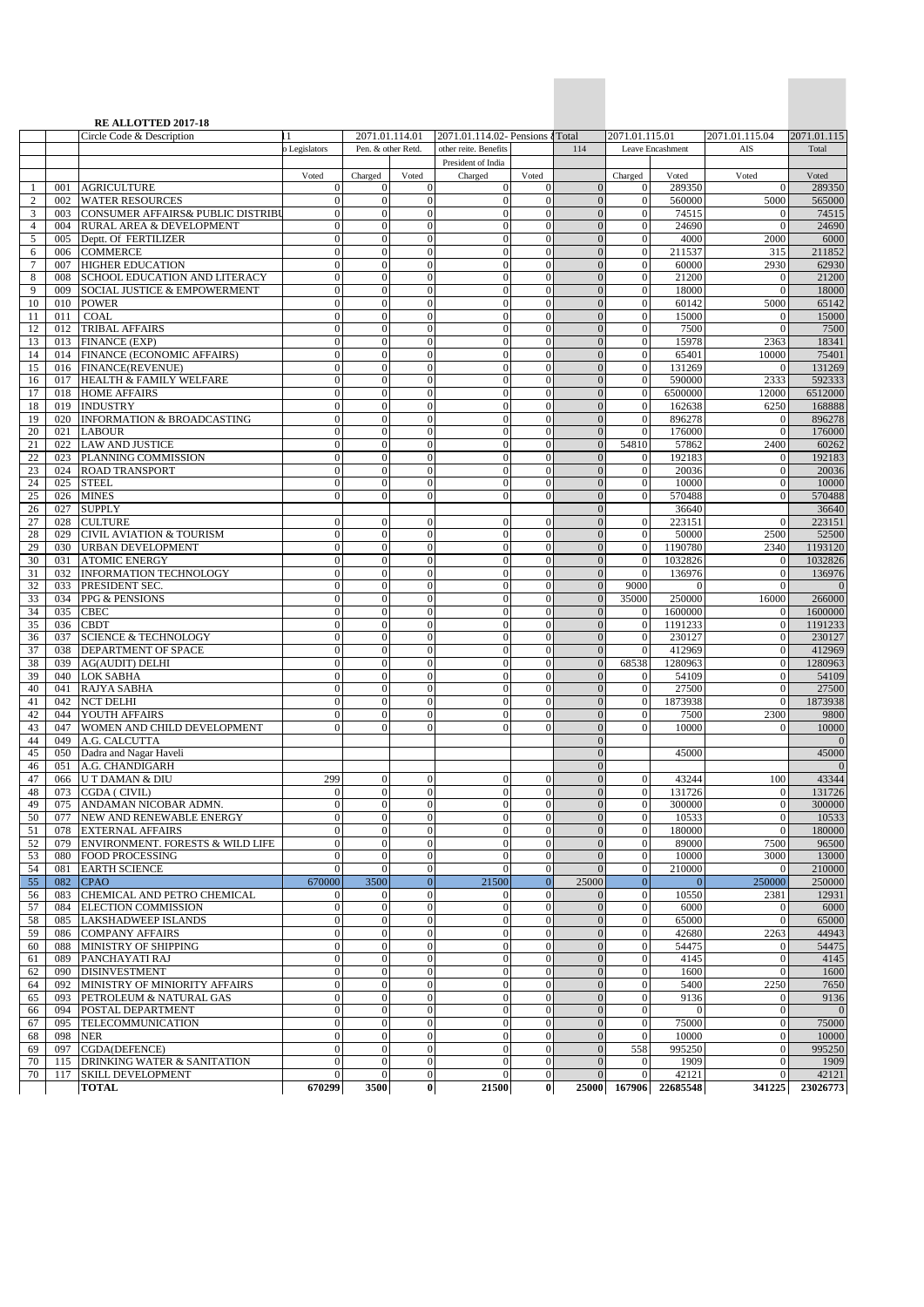|                   |            | <b>RE ALLOTTED 2017-18</b>                                  |                                  |                                  |                                      |                                                           |                                  |                                  |                                                   |                        |                                  |                       |
|-------------------|------------|-------------------------------------------------------------|----------------------------------|----------------------------------|--------------------------------------|-----------------------------------------------------------|----------------------------------|----------------------------------|---------------------------------------------------|------------------------|----------------------------------|-----------------------|
|                   |            | Circle Code & Description                                   | D Legislators                    | Pen. & other Retd.               | 2071.01.114.01                       | 2071.01.114.02- Pensions 4 Total<br>other reite. Benefits |                                  | 114                              | 2071.01.115.01                                    | Leave Encashment       | 2071.01.115.04<br>AIS            | 2071.01.115<br>Total  |
|                   |            |                                                             |                                  |                                  |                                      | President of India                                        |                                  |                                  |                                                   |                        |                                  |                       |
|                   |            |                                                             | Voted                            | Charged                          | Voted                                | Charged                                                   | Voted                            |                                  | Charged                                           | Voted                  | Voted                            | Voted                 |
| 1<br>$\mathbf{2}$ | 001<br>002 | <b>AGRICULTURE</b><br><b>WATER RESOURCES</b>                | $\boldsymbol{0}$<br>$\mathbf{0}$ | $\theta$<br>$\mathbf{0}$         | $\boldsymbol{0}$<br>$\overline{0}$   | $\overline{0}$<br>$\overline{0}$                          | $\mathbf{0}$<br>$\mathbf{0}$     | $\mathbf{0}$<br>$\overline{0}$   | $\theta$<br>$\theta$                              | 289350<br>560000       | $\Omega$<br>5000                 | 289350<br>565000      |
| 3                 | 003        | CONSUMER AFFAIRS& PUBLIC DISTRIBU                           | $\mathbf{0}$                     | $\mathbf{0}$                     | $\mathbf{0}$                         | $\Omega$                                                  | $\Omega$                         | $\overline{0}$                   | $\mathbf{0}$                                      | 74515                  | $\Omega$                         | 74515                 |
| $\overline{4}$    | 004        | RURAL AREA & DEVELOPMENT                                    | $\mathbf{0}$                     | $\boldsymbol{0}$                 | $\mathbf{0}$                         | $\Omega$                                                  | $\mathbf{0}$                     | $\overline{0}$                   | $\mathbf{0}$                                      | 24690                  | $\overline{0}$                   | 24690                 |
| 5                 | 005        | Deptt. Of FERTILIZER                                        | $\mathbf{0}$                     | $\mathbf{0}$                     | $\overline{0}$                       | $\Omega$                                                  | $\Omega$                         | $\overline{0}$                   | $\theta$                                          | 4000                   | 2000                             | 6000                  |
| 6<br>7            | 006<br>007 | <b>COMMERCE</b><br><b>HIGHER EDUCATION</b>                  | $\mathbf{0}$<br>$\mathbf{0}$     | $\boldsymbol{0}$<br>$\mathbf{0}$ | $\overline{0}$<br>$\overline{0}$     | $\overline{0}$<br>$\Omega$                                | $\mathbf{0}$<br>$\Omega$         | $\overline{0}$<br>$\mathbf{0}$   | $\mathbf{0}$<br>$\overline{0}$                    | 211537<br>60000        | 315<br>2930                      | 211852<br>62930       |
| 8                 | 008        | SCHOOL EDUCATION AND LITERACY                               | $\theta$                         | $\mathbf{0}$                     | $\overline{0}$                       | $\Omega$                                                  | $\mathbf{0}$                     | $\overline{0}$                   | $\mathbf{0}$                                      | 21200                  | $\Omega$                         | 21200                 |
| 9                 | 009        | SOCIAL JUSTICE & EMPOWERMENT                                | $\mathbf{0}$                     | $\mathbf{0}$                     | $\mathbf{0}$                         | $\overline{0}$                                            | $\theta$                         | $\mathbf{0}$                     | $\mathbf{0}$                                      | 18000                  | $\mathbf{0}$                     | 18000                 |
| 10                | 010        | <b>POWER</b>                                                | $\mathbf{0}$                     | $\mathbf{0}$                     | $\overline{0}$                       | $\overline{0}$                                            | $\mathbf{0}$                     | $\overline{0}$                   | $\theta$                                          | 60142                  | 5000                             | 65142                 |
| 11<br>12          | 011<br>012 | <b>COAL</b><br><b>TRIBAL AFFAIRS</b>                        | $\mathbf{0}$<br>$\overline{0}$   | $\mathbf{0}$<br>$\mathbf{0}$     | $\overline{0}$<br>$\overline{0}$     | $\overline{0}$<br>$\Omega$                                | $\mathbf{0}$<br>$\theta$         | $\overline{0}$<br>$\overline{0}$ | $\mathbf{0}$<br>$\overline{0}$                    | 15000<br>7500          | $\mathbf{0}$<br>$\Omega$         | 15000<br>7500         |
| 13                | 013        | <b>FINANCE (EXP)</b>                                        | $\mathbf{0}$                     | $\mathbf{0}$                     | $\overline{0}$                       | $\Omega$                                                  | $\mathbf{0}$                     | $\overline{0}$                   | $\theta$                                          | 15978                  | 2363                             | 18341                 |
| 14                | 014        | FINANCE (ECONOMIC AFFAIRS)                                  | $\mathbf{0}$                     | $\mathbf{0}$                     | $\overline{0}$                       | $\overline{0}$                                            | $\theta$                         | $\overline{0}$                   | $\theta$                                          | 65401                  | 10000                            | 75401                 |
| 15                | 016        | <b>FINANCE(REVENUE)</b>                                     | $\mathbf{0}$                     | $\boldsymbol{0}$                 | $\overline{0}$                       | $\Omega$                                                  | $\mathbf{0}$                     | $\overline{0}$                   | $\mathbf{0}$                                      | 131269                 | $\Omega$                         | 131269                |
| 16<br>17          | 017<br>018 | <b>HEALTH &amp; FAMILY WELFARE</b><br><b>HOME AFFAIRS</b>   | $\theta$<br>$\mathbf{0}$         | $\mathbf{0}$<br>$\mathbf{0}$     | $\overline{0}$<br>$\boldsymbol{0}$   | $\Omega$<br>$\overline{0}$                                | $\mathbf{0}$<br>$\overline{0}$   | $\overline{0}$<br>$\mathbf{0}$   | $\mathbf{0}$<br>$\theta$                          | 590000<br>6500000      | 2333<br>12000                    | 592333<br>6512000     |
| 18                | 019        | <b>INDUSTRY</b>                                             | $\mathbf{0}$                     | $\mathbf{0}$                     | $\overline{0}$                       | $\overline{0}$                                            | $\mathbf{0}$                     | $\overline{0}$                   | $\mathbf{0}$                                      | 162638                 | 6250                             | 168888                |
| 19                | 020        | <b>INFORMATION &amp; BROADCASTING</b>                       | $\mathbf{0}$                     | $\mathbf{0}$                     | $\mathbf{0}$                         | $\overline{0}$                                            | $\mathbf{0}$                     | $\mathbf{0}$                     | $\theta$                                          | 896278                 | $\overline{0}$                   | 896278                |
| 20                | 021        | <b>LABOUR</b>                                               | $\mathbf{0}$                     | $\mathbf{0}$                     | $\overline{0}$                       | $\Omega$                                                  | $\Omega$                         | $\overline{0}$                   | $\overline{0}$                                    | 176000                 | $\Omega$                         | 176000                |
| 21                | 022        | <b>LAW AND JUSTICE</b>                                      | $\theta$                         | $\mathbf{0}$                     | $\overline{0}$                       | $\Omega$                                                  | $\mathbf{0}$                     | $\overline{0}$<br>$\overline{0}$ | 54810                                             | 57862                  | 2400                             | 60262                 |
| 22<br>23          | 023<br>024 | PLANNING COMMISSION<br><b>ROAD TRANSPORT</b>                | $\mathbf{0}$<br>$\mathbf{0}$     | $\mathbf{0}$<br>$\mathbf{0}$     | $\mathbf{0}$<br>$\overline{0}$       | $\overline{0}$<br>$\overline{0}$                          | $\theta$<br>$\mathbf{0}$         | $\overline{0}$                   | $\mathbf{0}$<br>$\theta$                          | 192183<br>20036        | $\overline{0}$<br>$\overline{0}$ | 192183<br>20036       |
| 24                | 025        | <b>STEEL</b>                                                | $\theta$                         | $\mathbf{0}$                     | $\overline{0}$                       | $\Omega$                                                  | $\Omega$                         | $\overline{0}$                   | $\mathbf{0}$                                      | 10000                  | $\Omega$                         | 10000                 |
| 25                | 026        | <b>MINES</b>                                                | $\theta$                         | $\mathbf{0}$                     | $\overline{0}$                       | $\Omega$                                                  | $\mathbf{0}$                     | $\overline{0}$                   | $\boldsymbol{0}$                                  | 570488                 | $\Omega$                         | 570488                |
| 26                | 027        | <b>SUPPLY</b>                                               |                                  | $\mathbf{0}$                     | $\overline{0}$                       | $\overline{0}$                                            |                                  | $\overline{0}$<br>$\overline{0}$ |                                                   | 36640                  | $\overline{0}$                   | 36640<br>223151       |
| 27<br>28          | 028<br>029 | <b>CULTURE</b><br><b>CIVIL AVIATION &amp; TOURISM</b>       | $\mathbf{0}$<br>$\mathbf{0}$     | $\mathbf{0}$                     | $\overline{0}$                       | $\Omega$                                                  | $\mathbf{0}$<br>$\Omega$         | $\overline{0}$                   | $\mathbf{0}$<br>223151<br>$\overline{0}$<br>50000 |                        | 2500                             | 52500                 |
| 29                | 030        | URBAN DEVELOPMENT                                           | $\theta$                         | $\mathbf{0}$                     | $\overline{0}$                       | $\Omega$                                                  | $\mathbf{0}$                     | $\overline{0}$                   | $\mathbf{0}$                                      | 1190780                | 2340                             | 1193120               |
| 30                | 031        | <b>ATOMIC ENERGY</b>                                        | $\mathbf{0}$                     | $\mathbf{0}$                     | $\mathbf{0}$                         | $\Omega$                                                  | $\theta$                         | $\mathbf{0}$                     | $\theta$                                          | 1032826                | $\overline{0}$                   | 1032826               |
| 31                | 032<br>033 | <b>INFORMATION TECHNOLOGY</b><br>PRESIDENT SEC.             | $\mathbf{0}$<br>$\mathbf{0}$     | $\mathbf{0}$<br>$\mathbf{0}$     | $\overline{0}$<br>$\overline{0}$     | $\overline{0}$<br>$\overline{0}$                          | $\mathbf{0}$<br>$\mathbf{0}$     | $\overline{0}$<br>$\overline{0}$ | $\Omega$<br>9000                                  | 136976<br>$\mathbf{0}$ | $\overline{0}$<br>$\Omega$       | 136976<br>$\theta$    |
| 32<br>33          | 034        | PPG & PENSIONS                                              | $\overline{0}$                   | $\mathbf{0}$                     | $\overline{0}$                       | $\Omega$                                                  | $\overline{0}$                   | $\overline{0}$                   | 35000                                             | 250000                 | 16000                            | 266000                |
| 34                | 035        | <b>CBEC</b>                                                 | $\mathbf{0}$                     | $\mathbf{0}$                     | $\overline{0}$                       | $\Omega$                                                  | $\overline{0}$                   | $\overline{0}$                   | $\overline{0}$                                    | 1600000                | $\overline{0}$                   | 1600000               |
| 35                | 036        | <b>CBDT</b>                                                 | $\mathbf{0}$                     | $\mathbf{0}$                     | $\overline{0}$                       | $\overline{0}$                                            | $\theta$                         | $\overline{0}$                   | $\theta$                                          | 1191233                | $\overline{0}$                   | 1191233               |
| 36<br>37          | 037<br>038 | <b>SCIENCE &amp; TECHNOLOGY</b><br>DEPARTMENT OF SPACE      | $\mathbf{0}$<br>$\theta$         | $\mathbf{0}$<br>$\mathbf{0}$     | $\overline{0}$<br>$\overline{0}$     | $\overline{0}$<br>$\Omega$                                | $\mathbf{0}$<br>$\mathbf{0}$     | $\overline{0}$<br>$\overline{0}$ | $\mathbf{0}$<br>$\mathbf{0}$                      | 230127<br>412969       | $\overline{0}$<br>$\overline{0}$ | 230127<br>412969      |
| 38                | 039        | <b>AG(AUDIT) DELHI</b>                                      | $\mathbf{0}$                     | $\mathbf{0}$                     | $\boldsymbol{0}$                     | $\Omega$                                                  | $\overline{0}$                   | $\mathbf{0}$                     | 68538                                             | 1280963                | $\overline{0}$                   | 1280963               |
| 39                | 040        | <b>LOK SABHA</b>                                            | $\mathbf{0}$                     | $\mathbf{0}$                     | $\overline{0}$                       | $\overline{0}$                                            | $\mathbf{0}$                     | $\mathbf{0}$                     | $\overline{0}$                                    | 54109                  | $\overline{0}$                   | 54109                 |
| 40                | 041        | RAJYA SABHA                                                 | $\mathbf{0}$                     | $\mathbf{0}$                     | $\mathbf{0}$                         | $\overline{0}$                                            | $\mathbf{0}$                     | $\mathbf{0}$                     | $\overline{0}$                                    | 27500                  | $\overline{0}$                   | 27500                 |
| 41<br>42          | 042<br>044 | <b>NCT DELHI</b><br>YOUTH AFFAIRS                           | $\mathbf{0}$<br>$\mathbf{0}$     | $\mathbf{0}$<br>$\mathbf{0}$     | $\overline{0}$<br>$\overline{0}$     | $\Omega$<br>$\Omega$                                      | $\theta$<br>$\theta$             | $\overline{0}$<br>$\mathbf{0}$   | $\overline{0}$<br>$\Omega$                        | 1873938<br>7500        | $\Omega$<br>2300                 | 1873938<br>9800       |
| 43                | 047        | WOMEN AND CHILD DEVELOPMENT                                 | $\theta$                         | $\mathbf{0}$                     | $\overline{0}$                       | $\Omega$                                                  | $\Omega$                         | $\mathbf{0}$                     | $\Omega$                                          | 10000                  | $\Omega$                         | 10000                 |
| 44                | 049        | A.G. CALCUTTA                                               |                                  |                                  |                                      |                                                           |                                  | $\overline{0}$                   |                                                   |                        |                                  | $\mathbf{0}$          |
| 45                | 050        | Dadra and Nagar Haveli                                      |                                  |                                  |                                      |                                                           |                                  | $\mathbf{0}$                     |                                                   | 45000                  |                                  | 45000                 |
| 46<br>47          | 066        | 051 A.G. CHANDIGARH<br><b>UT DAMAN &amp; DIU</b>            | 299                              | $\mathbf{0}$                     | $\overline{0}$                       | $\overline{0}$                                            | $\mathbf{0}$                     | $\boldsymbol{0}$<br>$\mathbf{0}$ | $\overline{0}$                                    | 43244                  | 100                              | $\mathbf{0}$<br>43344 |
| 48                | 073        | CGDA (CIVIL)                                                | $\theta$                         | $\boldsymbol{0}$                 | $\boldsymbol{0}$                     | $\overline{0}$                                            | $\mathbf{0}$                     | $\mathbf{0}$                     | $\boldsymbol{0}$                                  | 131726                 | $\overline{0}$                   | 131726                |
| 49                | 075        | ANDAMAN NICOBAR ADMN.                                       | $\mathbf{0}$                     | $\boldsymbol{0}$                 | $\boldsymbol{0}$                     | $\Omega$                                                  | $\Omega$                         | $\mathbf{0}$                     | $\boldsymbol{0}$                                  | 300000                 | $\overline{0}$                   | 300000                |
| 50                | 077        | NEW AND RENEWABLE ENERGY                                    | $\mathbf{0}$                     | $\mathbf{0}$                     | $\overline{0}$                       | $\Omega$                                                  | $\mathbf{0}$                     | $\overline{0}$                   | $\mathbf{0}$                                      | 10533                  | $\overline{0}$                   | 10533                 |
| 51<br>52          | 078<br>079 | <b>EXTERNAL AFFAIRS</b><br>ENVIRONMENT. FORESTS & WILD LIFE | $\mathbf{0}$<br>$\mathbf{0}$     | $\mathbf{0}$<br>$\mathbf{0}$     | $\boldsymbol{0}$<br>$\boldsymbol{0}$ | $\overline{0}$<br>$\overline{0}$                          | $\boldsymbol{0}$<br>$\mathbf{0}$ | $\mathbf{0}$<br>$\mathbf{0}$     | $\mathbf{0}$<br>$\overline{0}$                    | 180000<br>89000        | $\overline{0}$<br>7500           | 180000<br>96500       |
| 53                | 080        | <b>FOOD PROCESSING</b>                                      | $\mathbf{0}$                     | $\boldsymbol{0}$                 | $\boldsymbol{0}$                     | $\overline{0}$                                            | $\mathbf{0}$                     | $\mathbf{0}$                     | $\overline{0}$                                    | 10000                  | 3000                             | 13000                 |
| 54                | 081        | <b>EARTH SCIENCE</b>                                        | $\mathbf{0}$                     | $\mathbf{0}$                     | $\overline{0}$                       | $\Omega$                                                  | $\overline{0}$                   | $\overline{0}$                   | $\overline{0}$                                    | 210000                 | $\Omega$                         | 210000                |
| 55                | 082        | <b>CPAO</b>                                                 | 670000                           | 3500                             | $\mathbf{0}$                         | 21500                                                     | $\mathbf{0}$                     | 25000                            | $\overline{0}$                                    | $\overline{0}$         | 250000                           | 250000                |
| 56<br>57          | 083<br>084 | CHEMICAL AND PETRO CHEMICAL<br>ELECTION COMMISSION          | $\mathbf{0}$<br>$\mathbf{0}$     | $\mathbf{0}$<br>$\boldsymbol{0}$ | $\overline{0}$<br>$\boldsymbol{0}$   | $\overline{0}$<br>$\overline{0}$                          | $\mathbf{0}$<br>$\mathbf{0}$     | $\mathbf{0}$<br>$\mathbf{0}$     | $\mathbf{0}$<br>$\boldsymbol{0}$                  | 10550<br>6000          | 2381<br>$\overline{0}$           | 12931<br>6000         |
| 58                | 085        | LAKSHADWEEP ISLANDS                                         | $\mathbf{0}$                     | $\boldsymbol{0}$                 | $\overline{0}$                       | $\overline{0}$                                            | $\mathbf{0}$                     | $\overline{0}$                   | $\boldsymbol{0}$                                  | 65000                  | $\Omega$                         | 65000                 |
| 59                | 086        | <b>COMPANY AFFAIRS</b>                                      | $\mathbf{0}$                     | $\mathbf{0}$                     | $\boldsymbol{0}$                     | $\overline{0}$                                            | $\overline{0}$                   | $\mathbf{0}$                     | $\mathbf{0}$                                      | 42680                  | 2263                             | 44943                 |
| 60                | 088        | MINISTRY OF SHIPPING                                        | $\mathbf{0}$                     | $\boldsymbol{0}$                 | $\overline{0}$                       | $\overline{0}$                                            | $\theta$                         | $\mathbf{0}$                     | $\mathbf{0}$                                      | 54475                  | $\overline{0}$                   | 54475                 |
| 61<br>62          | 089<br>090 | PANCHAYATI RAJ<br><b>DISINVESTMENT</b>                      | $\mathbf{0}$<br>$\boldsymbol{0}$ | $\mathbf{0}$<br>$\boldsymbol{0}$ | $\mathbf{0}$<br>$\overline{0}$       | $\overline{0}$<br>$\overline{0}$                          | $\mathbf{0}$<br>$\overline{0}$   | $\mathbf{0}$<br>$\mathbf{0}$     | $\mathbf{0}$<br>$\boldsymbol{0}$                  | 4145<br>1600           | $\mathbf{0}$<br>$\overline{0}$   | 4145<br>1600          |
| 64                | 092        | MINISTRY OF MINIORITY AFFAIRS                               | $\boldsymbol{0}$                 | $\mathbf{0}$                     | $\overline{0}$                       | $\overline{0}$                                            | $\overline{0}$                   | $\mathbf{0}$                     | $\mathbf{0}$                                      | 5400                   | 2250                             | 7650                  |
| 65                | 093        | PETROLEUM & NATURAL GAS                                     | $\boldsymbol{0}$                 | $\mathbf{0}$                     | $\boldsymbol{0}$                     | $\overline{0}$                                            | $\overline{0}$                   | $\mathbf{0}$                     | $\mathbf{0}$                                      | 9136                   | $\mathbf{0}$                     | 9136                  |
| 66                | 094        | POSTAL DEPARTMENT                                           | $\mathbf{0}$                     | $\mathbf{0}$                     | $\overline{0}$                       | $\overline{0}$                                            | $\mathbf{0}$                     | $\mathbf{0}$                     | $\overline{0}$                                    | $\overline{0}$         | $\overline{0}$                   | $\mathbf{0}$          |
| 67                | 095        | TELECOMMUNICATION                                           | $\mathbf{0}$                     | $\boldsymbol{0}$                 | $\boldsymbol{0}$<br>$\mathbf{0}$     | $\overline{0}$<br>$\Omega$                                | $\Omega$<br>$\mathbf{0}$         | $\mathbf{0}$                     | $\mathbf{0}$<br>$\mathbf{0}$                      | 75000                  | $\overline{0}$<br>$\overline{0}$ | 75000                 |
| 68<br>69          | 098<br>097 | <b>NER</b><br>CGDA(DEFENCE)                                 | $\mathbf{0}$<br>$\mathbf{0}$     | $\boldsymbol{0}$<br>$\mathbf{0}$ | $\boldsymbol{0}$                     | $\overline{0}$                                            | $\theta$                         | $\mathbf{0}$<br>$\overline{0}$   | 558                                               | 10000<br>995250        | $\overline{0}$                   | 10000<br>995250       |
| 70                | 115        | DRINKING WATER & SANITATION                                 | $\mathbf{0}$                     | $\mathbf{0}$                     | $\boldsymbol{0}$                     | $\overline{0}$                                            | $\mathbf{0}$                     | $\mathbf{0}$                     | $\overline{0}$                                    | 1909                   | $\overline{0}$                   | 1909                  |
| 70                | 117        | SKILL DEVELOPMENT                                           | $\Omega$                         | $\mathbf{0}$                     | $\boldsymbol{0}$                     | $\Omega$                                                  | $\mathbf{0}$                     | $\overline{0}$                   | $\overline{0}$                                    | 42121                  | $\Omega$                         | 42121                 |
|                   |            | <b>TOTAL</b>                                                | 670299                           | 3500                             | $\bf{0}$                             | 21500                                                     | $\bf{0}$                         | 25000                            | 167906                                            | 22685548               | 341225                           | 23026773              |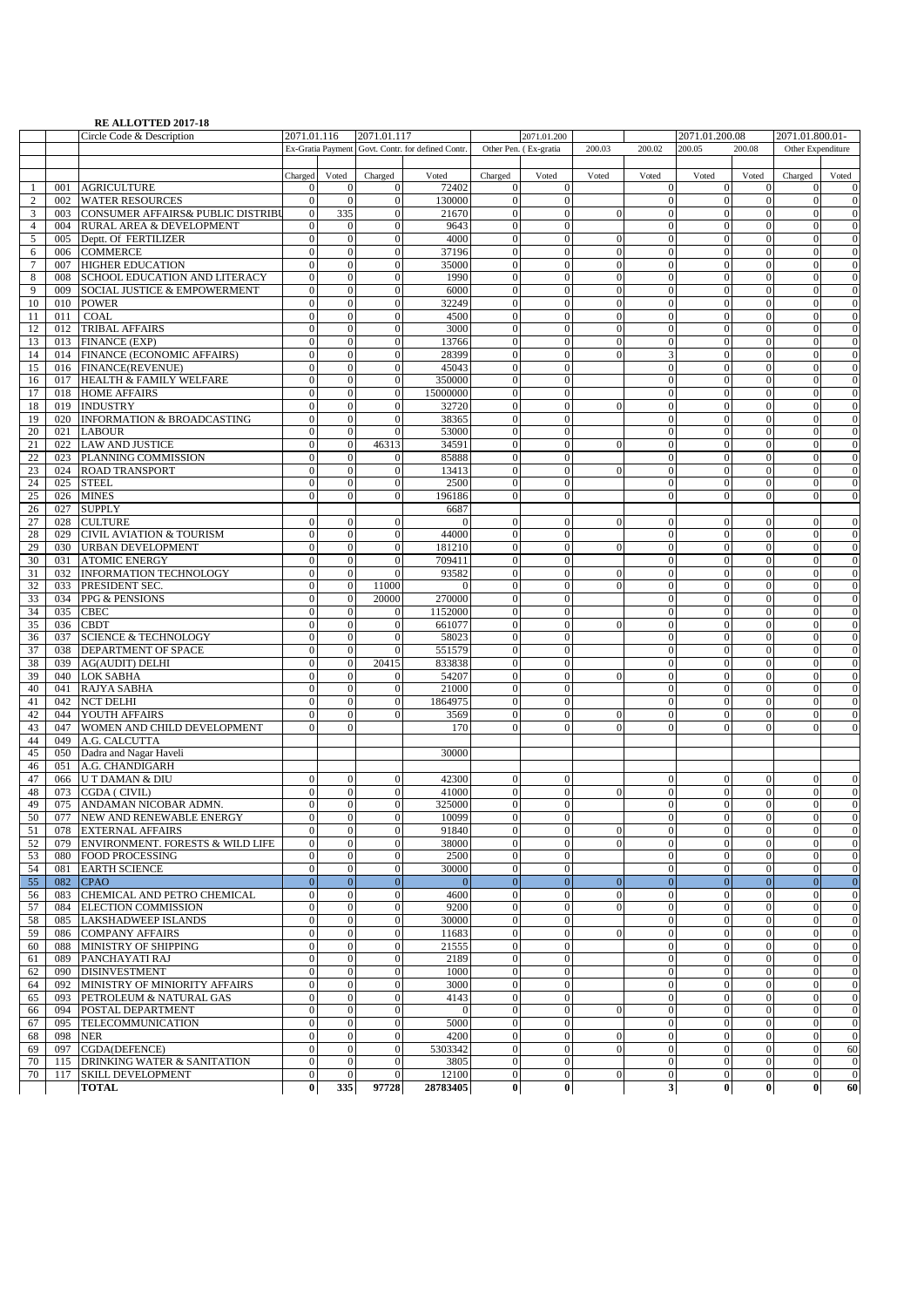## **RE ALLOTTED 2017-18**

|                |     | <b>NE ALLOTTED 2017-10</b><br>Circle Code & Description | 2071.01.116                  |                       | 2071.01.117           |                                                   |                            | 2071.01.200                  |                |                                    | 2071.01.200.08               |                          | 2071.01.800.01-              |                    |
|----------------|-----|---------------------------------------------------------|------------------------------|-----------------------|-----------------------|---------------------------------------------------|----------------------------|------------------------------|----------------|------------------------------------|------------------------------|--------------------------|------------------------------|--------------------|
|                |     |                                                         |                              |                       |                       | Ex-Gratia Payment Govt. Contr. for defined Contr. |                            | Other Pen. (Ex-gratia        | 200.03         | 200.02                             | 200.05                       | 200.08                   | Other Expenditure            |                    |
|                |     |                                                         |                              |                       |                       |                                                   |                            |                              |                |                                    |                              |                          |                              |                    |
|                |     |                                                         | Charged                      | Voted                 | Charged               | Voted                                             | Charged                    | Voted                        | Voted          | Voted                              | Voted                        | Voted                    | Charged                      | Voted              |
| $\mathbf{1}$   | 001 | <b>AGRICULTURE</b>                                      | $\mathbf{0}$                 | $\Omega$              | $\Omega$              | 72402                                             | $\mathbf{0}$               | $\theta$                     |                | $\boldsymbol{0}$                   | $\mathbf{0}$                 | $\mathbf{0}$             | $\theta$                     | $\mathbf{0}$       |
| $\overline{c}$ | 002 | <b>WATER RESOURCES</b>                                  | $\mathbf{0}$                 | $\Omega$              | $\mathbf{0}$          | 130000                                            | $\boldsymbol{0}$           | $\theta$                     |                | $\mathbf{0}$                       | $\mathbf{0}$                 | $\mathbf{0}$             | $\mathbf{0}$                 | $\mathbf{0}$       |
| 3              | 003 | CONSUMER AFFAIRS& PUBLIC DISTRIBU                       | $\mathbf{0}$                 | 335                   | $\mathbf{0}$          | 21670                                             | $\mathbf{0}$               | $\mathbf{0}$                 | $\overline{0}$ | $\boldsymbol{0}$                   | $\mathbf{0}$                 | $\mathbf{0}$             | $\overline{0}$               | $\mathbf{0}$       |
| $\overline{4}$ | 004 | RURAL AREA & DEVELOPMENT                                | $\mathbf{0}$                 | $\Omega$              | $\overline{0}$        | 9643                                              | $\mathbf{0}$               | $\overline{0}$               |                | $\overline{0}$                     | $\mathbf{0}$                 | $\mathbf{0}$             | $\mathbf{0}$                 | $\boldsymbol{0}$   |
| 5              | 005 | Deptt. Of FERTILIZER                                    | $\mathbf{0}$                 | $\overline{0}$        | $\mathbf{0}$          | 4000                                              | $\mathbf{0}$               | $\boldsymbol{0}$             | $\mathbf{0}$   | $\mathbf{0}$                       | $\mathbf{0}$                 | $\mathbf{0}$             | $\mathbf{0}$                 | $\mathbf{0}$       |
| 6              | 006 | <b>COMMERCE</b>                                         | $\mathbf{0}$                 | $\theta$              | $\mathbf{0}$          | 37196                                             | $\mathbf{0}$               | $\mathbf{0}$                 | $\overline{0}$ | $\mathbf{0}$                       | $\mathbf{0}$                 | $\mathbf{0}$             | $\mathbf{0}$                 | $\overline{0}$     |
| $\tau$         | 007 | <b>HIGHER EDUCATION</b>                                 | $\mathbf{0}$                 | $\theta$              | $\mathbf{0}$          | 35000                                             | $\boldsymbol{0}$           | $\mathbf{0}$                 | $\mathbf{0}$   | $\boldsymbol{0}$                   | $\mathbf{0}$                 | $\mathbf{0}$             | $\mathbf{0}$                 | $\boldsymbol{0}$   |
| 8              | 008 | SCHOOL EDUCATION AND LITERACY                           | $\boldsymbol{0}$             | $\Omega$              | $\overline{0}$        | 1990                                              | $\mathbf{0}$               | $\overline{0}$               | $\overline{0}$ | $\mathbf{0}$                       | $\overline{0}$               | $\mathbf{0}$             | $\Omega$                     | $\overline{0}$     |
| 9              | 009 | SOCIAL JUSTICE & EMPOWERMENT                            | $\mathbf{0}$                 | $\Omega$              | $\mathbf{0}$          | 6000                                              | $\mathbf{0}$               | $\overline{0}$               | $\overline{0}$ | $\mathbf{0}$                       | $\mathbf{0}$                 | $\mathbf{0}$             | $\theta$                     | $\mathbf{0}$       |
| 10             | 010 | <b>POWER</b>                                            | $\boldsymbol{0}$             | $\theta$              | $\mathbf{0}$          | 32249                                             | $\boldsymbol{0}$           | $\mathbf{0}$                 | $\overline{0}$ | $\boldsymbol{0}$                   | $\mathbf{0}$                 | $\boldsymbol{0}$         | $\mathbf{0}$                 | $\boldsymbol{0}$   |
| 11             | 011 | <b>COAL</b>                                             | $\mathbf{0}$                 | $\theta$              | $\mathbf{0}$          | 4500                                              | $\mathbf{0}$               | $\overline{0}$               | $\mathbf{0}$   | $\boldsymbol{0}$                   | $\mathbf{0}$                 | $\mathbf{0}$             | $\mathbf{0}$                 | $\mathbf{0}$       |
| 12             | 012 | <b>TRIBAL AFFAIRS</b>                                   | $\Omega$                     | $\Omega$              | $\mathbf{0}$          | 3000                                              | $\mathbf{0}$               | $\Omega$                     | $\Omega$       | $\boldsymbol{0}$                   | $\Omega$                     | $\mathbf{0}$             | $\Omega$                     | $\mathbf{0}$       |
| 13             | 013 | <b>FINANCE (EXP)</b>                                    | $\theta$                     | $\mathbf{0}$          | $\mathbf{0}$          | 13766                                             | $\mathbf{0}$               | $\overline{0}$               | $\mathbf{0}$   | $\boldsymbol{0}$                   | $\theta$                     | $\mathbf{0}$             | $\overline{0}$               | $\mathbf{0}$       |
| 14             |     | 014 FINANCE (ECONOMIC AFFAIRS)                          | $\mathbf{0}$                 | $\theta$              | $\mathbf{0}$          | 28399                                             | $\mathbf{0}$               | $\overline{0}$               | $\overline{0}$ | 3                                  | $\mathbf{0}$                 | $\mathbf{0}$             | $\Omega$                     | $\mathbf{0}$       |
| 15             |     | 016 FINANCE(REVENUE)                                    | $\mathbf{0}$                 | $\theta$              | $\mathbf{0}$          | 45043                                             | $\mathbf{0}$               | $\mathbf{0}$                 |                | $\boldsymbol{0}$                   | $\mathbf{0}$                 | $\mathbf{0}$             | $\mathbf{0}$                 | $\mathbf{0}$       |
| 16             |     | 017 HEALTH & FAMILY WELFARE                             | $\overline{0}$               | $\Omega$              | $\overline{0}$        | 350000                                            | $\Omega$                   | $\Omega$                     |                | $\mathbf{0}$                       | $\mathbf{0}$                 | $\Omega$                 | $\Omega$                     | $\theta$           |
| 17             |     | 018 HOME AFFAIRS                                        | $\theta$                     | $\Omega$              | $\mathbf{0}$          | 15000000                                          | $\mathbf{0}$               | $\overline{0}$               |                | $\mathbf{0}$                       | $\Omega$                     | $\Omega$                 | $\Omega$                     | $\mathbf{0}$       |
| 18             |     | 019 INDUSTRY                                            | $\mathbf{0}$                 | $\overline{0}$        | $\mathbf{0}$          | 32720                                             | $\boldsymbol{0}$           | $\mathbf{0}$                 | $\mathbf{0}$   | $\boldsymbol{0}$                   | $\mathbf{0}$                 | $\mathbf{0}$             | $\mathbf{0}$                 | $\overline{0}$     |
| 19             |     | 020 INFORMATION & BROADCASTING                          | $\mathbf{0}$                 | $\theta$              | $\mathbf{0}$          | 38365                                             | $\mathbf{0}$               | $\overline{0}$               |                | $\boldsymbol{0}$                   | $\mathbf{0}$                 | $\mathbf{0}$             | $\mathbf{0}$                 | $\mathbf{0}$       |
| 20             | 021 | <b>LABOUR</b>                                           | $\mathbf{0}$                 | $\theta$              | $\theta$              | 53000                                             | $\mathbf{0}$               | $\overline{0}$               |                | $\mathbf{0}$                       | $\overline{0}$               | $\mathbf{0}$             | $\overline{0}$               | $\mathbf{0}$       |
| 21             | 022 | <b>LAW AND JUSTICE</b>                                  | $\mathbf{0}$                 | $\Omega$              | 46313                 | 34591                                             | $\mathbf{0}$               | $\overline{0}$               | $\overline{0}$ | $\boldsymbol{0}$                   | $\overline{0}$               | $\mathbf{0}$             | $\overline{0}$               |                    |
| 22             |     | 023 PLANNING COMMISSION                                 | $\mathbf{0}$                 | $\overline{0}$        | $\theta$              | 85888                                             | $\mathbf{0}$               | $\mathbf{0}$                 |                | $\mathbf{0}$                       | $\mathbf{0}$                 | $\mathbf{0}$             | $\theta$                     | $\boldsymbol{0}$   |
| 23             |     | 024 ROAD TRANSPORT                                      | $\mathbf{0}$                 | $\overline{0}$        | $\theta$              | 13413                                             | $\mathbf{0}$               | $\overline{0}$               | $\mathbf{0}$   | $\mathbf{0}$                       | $\mathbf{0}$                 | $\mathbf{0}$             | $\theta$                     | $\mathbf{0}$       |
| 24             | 025 | <b>STEEL</b>                                            | $\boldsymbol{0}$             | $\theta$              | $\theta$              | 2500                                              | $\boldsymbol{0}$           | $\overline{0}$               |                | $\mathbf{0}$                       | $\mathbf{0}$                 | $\mathbf{0}$             | $\mathbf{0}$                 | $\mathbf{0}$       |
| 25             | 026 | <b>MINES</b>                                            | $\mathbf{0}$                 | $\mathbf{0}$          | $\theta$              | 196186                                            | $\mathbf{0}$               | $\overline{0}$               |                | $\mathbf{0}$                       | $\mathbf{0}$                 | $\mathbf{0}$             | $\Omega$                     | $\mathbf{0}$       |
| 26             | 027 | <b>SUPPLY</b>                                           |                              |                       |                       | 6687                                              |                            |                              |                |                                    |                              |                          |                              |                    |
| 27             | 028 | <b>CULTURE</b>                                          | $\mathbf{0}$                 | $\theta$              | $\theta$              | $\Omega$                                          | $\mathbf{0}$               | $\theta$                     | $\overline{0}$ | $\theta$                           | $\mathbf{0}$                 | $\mathbf{0}$             | $\theta$                     | $\mathbf{0}$       |
| 28             | 029 | <b>CIVIL AVIATION &amp; TOURISM</b>                     | $\boldsymbol{0}$             | $\theta$              | $\mathbf{0}$          | 44000                                             | $\boldsymbol{0}$           | $\boldsymbol{0}$             |                | $\mathbf{0}$                       | $\mathbf{0}$                 | $\mathbf{0}$             | $\theta$                     | $\boldsymbol{0}$   |
| 29             | 030 | <b>URBAN DEVELOPMENT</b>                                | $\mathbf{0}$                 | $\Omega$              | $\overline{0}$        | 181210                                            | $\mathbf{0}$               | $\overline{0}$               | $\mathbf{0}$   | $\boldsymbol{0}$                   | $\overline{0}$               | $\mathbf{0}$             | $\overline{0}$               | $\overline{0}$     |
| 30             |     | 031 ATOMIC ENERGY                                       | $\mathbf{0}$                 | $\overline{0}$        | $\theta$              | 709411                                            | $\overline{0}$             | $\mathbf{0}$                 |                | $\boldsymbol{0}$                   | $\mathbf{0}$                 | $\mathbf{0}$             | $\Omega$                     | $\boldsymbol{0}$   |
| 31             |     | 032 INFORMATION TECHNOLOGY                              | $\mathbf{0}$                 | $\theta$              | $\mathbf{0}$          | 93582                                             | $\mathbf{0}$               | $\overline{0}$               | $\mathbf{0}$   | $\boldsymbol{0}$                   | $\mathbf{0}$                 | $\mathbf{0}$             | $\Omega$                     | $\overline{0}$     |
| 32             | 033 | PRESIDENT SEC.                                          | $\mathbf{0}$                 | $\theta$              | 11000                 | $\overline{0}$                                    | $\mathbf{0}$               | $\overline{0}$               | $\mathbf{0}$   | $\boldsymbol{0}$                   | $\mathbf{0}$                 | $\mathbf{0}$             | $\mathbf{0}$                 | $\mathbf{0}$       |
| 33             | 034 | PPG & PENSIONS                                          | $\overline{0}$               | $\theta$              | 20000                 | 270000                                            | $\mathbf{0}$               | $\Omega$                     |                | $\boldsymbol{0}$                   | $\mathbf{0}$                 | $\mathbf{0}$             | $\Omega$                     | $\mathbf{0}$       |
| 34             | 035 | <b>CBEC</b>                                             | $\theta$                     | $\theta$              | $\mathbf{0}$          | 1152000                                           | $\mathbf{0}$               | $\overline{0}$               |                | $\boldsymbol{0}$                   | $\theta$                     | $\mathbf{0}$             | $\overline{0}$               | $\theta$           |
| 35             | 036 | <b>CBDT</b>                                             | $\Omega$                     | $\overline{0}$        | $\mathbf{0}$          | 661077                                            | $\mathbf{0}$               | $\overline{0}$               | $\Omega$       | $\boldsymbol{0}$                   | $\Omega$                     | $\mathbf{0}$             | $\Omega$                     | $\overline{0}$     |
| 36             | 037 | <b>SCIENCE &amp; TECHNOLOGY</b>                         | $\mathbf{0}$                 | $\theta$              | $\theta$              | 58023                                             | $\mathbf{0}$               | $\mathbf{0}$                 |                | $\boldsymbol{0}$                   | $\mathbf{0}$                 | $\mathbf{0}$             | $\mathbf{0}$                 | $\mathbf{0}$       |
| 37             | 038 | DEPARTMENT OF SPACE                                     | $\overline{0}$               | $\Omega$              | $\Omega$              | 551579                                            | $\Omega$                   | $\Omega$                     |                | $\mathbf{0}$                       | $\theta$                     | $\Omega$                 | $\Omega$                     |                    |
| 38             | 039 | <b>AG(AUDIT) DELHI</b>                                  | $\theta$                     | $\mathbf{0}$          | 20415                 | 833838                                            | $\mathbf{0}$               | $\overline{0}$               |                | $\mathbf{0}$                       | $\theta$                     | $\mathbf{0}$             | $\mathbf{0}$                 | $\mathbf{0}$       |
| 39             | 040 | <b>LOK SABHA</b>                                        | $\mathbf{0}$                 | $\overline{0}$        | $\theta$              | 54207                                             | $\boldsymbol{0}$           | $\boldsymbol{0}$             | $\Omega$       | $\mathbf{0}$                       | $\mathbf{0}$                 | $\mathbf{0}$             | $\mathbf{0}$                 | $\overline{0}$     |
| 40             | 041 | <b>RAJYA SABHA</b>                                      | $\mathbf{0}$                 | $\theta$              | $\theta$              | 21000                                             | $\mathbf{0}$               | $\overline{0}$               |                | $\mathbf{0}$                       | $\mathbf{0}$                 | $\mathbf{0}$             | $\mathbf{0}$                 | $\mathbf{0}$       |
| 41             | 042 | <b>NCT DELHI</b>                                        | $\mathbf{0}$                 | $\theta$              | $\mathbf{0}$          | 1864975                                           | $\mathbf{0}$               | $\overline{0}$               |                | $\boldsymbol{0}$                   | $\mathbf{0}$                 | $\mathbf{0}$             | $\Omega$                     | $\mathbf{0}$       |
| 42             | 044 | YOUTH AFFAIRS                                           | $\overline{0}$               | $\Omega$              | $\overline{0}$        | 3569                                              | $\mathbf{0}$               | $\overline{0}$               | $\mathbf{0}$   | $\mathbf{0}$                       | $\overline{0}$               | $\mathbf{0}$             | $\overline{0}$               | $\overline{0}$     |
| 43             | 047 | WOMEN AND CHILD DEVELOPMENT                             | $\Omega$                     | $\Omega$              |                       | 170                                               | $\mathbf{0}$               | $\Omega$                     | $\overline{0}$ | $\mathbf{0}$                       | $\Omega$                     | $\Omega$                 | $\Omega$                     | $\mathbf{0}$       |
| 44             |     | 049 A.G. CALCUTTA                                       |                              |                       |                       |                                                   |                            |                              |                |                                    |                              |                          |                              |                    |
| 45             |     | 050 Dadra and Nagar Haveli                              |                              |                       |                       | 30000                                             |                            |                              |                |                                    |                              |                          |                              |                    |
| 46             | 051 | A.G. CHANDIGARH                                         |                              |                       |                       |                                                   |                            |                              |                |                                    |                              |                          |                              |                    |
| 47             | 066 | U T DAMAN & DIU                                         | $\mathbf{0}$                 | $\overline{0}$        | $\theta$              | 42300                                             | $\mathbf{0}$               | $\mathbf{0}$                 |                | $\mathbf{0}$                       | $\mathbf{0}$                 | $\mathbf{0}$             | $\mathbf{0}$                 | $\mathbf{0}$       |
| 48             |     | 073 CGDA (CIVIL)                                        | $\mathbf{0}$                 | $\theta$              | $\mathbf{0}$          | 41000                                             | $\mathbf{0}$               | $\mathbf{0}$                 | $\mathbf{0}$   | $\mathbf{0}$                       | $\mathbf{0}$                 | $\mathbf{0}$             | $\mathbf{0}$                 | $\boldsymbol{0}$   |
| 49             |     | 075 ANDAMAN NICOBAR ADMN.                               | $\mathbf{0}$                 | $\theta$              | $\mathbf{0}$          | 325000                                            | $\mathbf{0}$               | $\mathbf{0}$                 |                | $\boldsymbol{0}$                   | $\mathbf{0}$                 | $\mathbf{0}$             | $\theta$                     | $\boldsymbol{0}$   |
| 50             |     | 077 NEW AND RENEWABLE ENERGY                            | $\overline{0}$               | $\Omega$              | $\overline{0}$        | 10099                                             | $\Omega$                   | $\Omega$                     |                | $\overline{0}$                     | $\overline{0}$               | $\mathbf{0}$             | $\overline{0}$               | $\Omega$           |
| 51             |     | 078 EXTERNAL AFFAIRS                                    | $\mathbf{0}$                 | $\overline{0}$        | $\mathbf{0}$          | 91840                                             | $\mathbf{0}$               | $\mathbf{0}$                 | $\mathbf{0}$   | $\mathbf{0}$                       | $\mathbf{0}$                 | $\mathbf{0}$             | $\mathbf{0}$                 | $\boldsymbol{0}$   |
| 52             |     | 079 ENVIRONMENT. FORESTS & WILD LIFE                    | $\mathbf{0}$                 | $\overline{0}$        | $\theta$              | 38000                                             | $\mathbf{0}$               | $\mathbf{0}$                 | $\mathbf{0}$   | $\mathbf{0}$                       | $\theta$                     | $\mathbf{0}$             | $\overline{0}$               | $\mathbf{0}$       |
| 53             |     | 080 FOOD PROCESSING                                     | $\mathbf{0}$                 | $\overline{0}$        | $\mathbf{0}$          | 2500                                              | $\mathbf{0}$               | $\mathbf{0}$                 |                | $\mathbf{0}$                       | $\boldsymbol{0}$             | $\boldsymbol{0}$         | $\mathbf{0}$                 | $\mathbf{0}$       |
| 54             | 081 | <b>EARTH SCIENCE</b>                                    | $\boldsymbol{0}$             | $\overline{0}$        | $\mathbf{0}$          | 30000                                             | $\boldsymbol{0}$           | $\overline{0}$               |                | $\boldsymbol{0}$                   | $\mathbf{0}$                 | $\mathbf{0}$             | $\overline{0}$               | $\mathbf{0}$       |
| 55             | 082 | <b>CPAO</b>                                             | $\boldsymbol{0}$             | $\mathbf{0}$          | $\overline{0}$        | $\overline{0}$                                    | $\boldsymbol{0}$           | $\overline{0}$               | $\overline{0}$ | $\boldsymbol{0}$                   | $\boldsymbol{0}$             | $\boldsymbol{0}$         | $\mathbf{0}$                 | $\overline{0}$     |
| 56             | 083 | CHEMICAL AND PETRO CHEMICAL                             | $\mathbf{0}$                 | $\theta$              | $\mathbf{0}$          | 4600                                              | $\boldsymbol{0}$           | $\theta$                     | $\overline{0}$ | $\mathbf{0}$                       | $\mathbf{0}$                 | $\boldsymbol{0}$         | $\theta$                     | $\boldsymbol{0}$   |
| 57             | 084 | <b>ELECTION COMMISSION</b>                              | $\boldsymbol{0}$             | $\mathbf{0}$          | $\mathbf{0}$          | 9200                                              | $\boldsymbol{0}$           | $\mathbf{0}$                 | $\mathbf{0}$   | $\mathbf{0}$                       | $\mathbf{0}$                 | $\mathbf{0}$             | $\mathbf{0}$                 | $\mathbf{0}$       |
| 58             | 085 | <b>LAKSHADWEEP ISLANDS</b>                              | $\boldsymbol{0}$             | $\overline{0}$        | $\overline{0}$        | 30000                                             | $\mathbf{0}$               | $\Omega$                     |                | $\boldsymbol{0}$                   | $\mathbf{0}$                 | $\mathbf{0}$             | $\mathbf{0}$                 | $\overline{0}$     |
| 59             | 086 | <b>COMPANY AFFAIRS</b>                                  | $\overline{0}$               | $\theta$              | $\mathbf{0}$          | 11683                                             | $\boldsymbol{0}$           | $\mathbf{0}$                 | $\mathbf{0}$   | $\boldsymbol{0}$                   | $\mathbf{0}$                 | $\mathbf{0}$             | $\mathbf{0}$                 | $\boldsymbol{0}$   |
| 60             | 088 | MINISTRY OF SHIPPING                                    | $\boldsymbol{0}$             | $\theta$              | $\mathbf{0}$          | 21555                                             | $\boldsymbol{0}$           | $\mathbf{0}$                 |                | $\boldsymbol{0}$                   | $\boldsymbol{0}$             | $\boldsymbol{0}$         | $\mathbf{0}$                 | $\mathbf{0}$       |
| 61             | 089 | PANCHAYATI RAJ                                          | $\boldsymbol{0}$             | $\mathbf{0}$          | $\theta$              | 2189                                              | $\boldsymbol{0}$           | $\mathbf{0}$                 |                | $\boldsymbol{0}$                   | $\boldsymbol{0}$             | $\boldsymbol{0}$         | $\boldsymbol{0}$             | $\boldsymbol{0}$   |
| 62             | 090 | <b>DISINVESTMENT</b>                                    | $\boldsymbol{0}$             | $\theta$              | $\mathbf{0}$          | 1000                                              | $\boldsymbol{0}$           | $\overline{0}$               |                | $\boldsymbol{0}$                   | $\mathbf{0}$                 | $\mathbf{0}$             | $\overline{0}$               | $\mathbf{0}$       |
| 64             | 092 | MINISTRY OF MINIORITY AFFAIRS                           | $\overline{0}$               | $\overline{0}$        | $\overline{0}$        | 3000                                              | $\boldsymbol{0}$           | $\overline{0}$               |                | $\boldsymbol{0}$                   | $\boldsymbol{0}$             | $\mathbf{0}$             | $\mathbf{0}$                 | $\overline{0}$     |
| 65             | 093 | PETROLEUM & NATURAL GAS                                 | $\boldsymbol{0}$             | $\theta$              | $\mathbf{0}$          | 4143                                              | $\boldsymbol{0}$           | $\mathbf{0}$                 |                | $\boldsymbol{0}$                   | $\mathbf{0}$                 | $\boldsymbol{0}$         | $\mathbf{0}$                 | $\mathbf{0}$       |
| 66             | 094 | POSTAL DEPARTMENT                                       | $\boldsymbol{0}$             | $\overline{0}$        | $\theta$              | $\overline{0}$                                    | $\boldsymbol{0}$           | $\mathbf{0}$                 | $\mathbf{0}$   | $\boldsymbol{0}$                   | $\boldsymbol{0}$             | $\boldsymbol{0}$         | $\mathbf{0}$                 | $\mathbf{0}$       |
| 67             | 095 | TELECOMMUNICATION                                       | $\boldsymbol{0}$             | $\overline{0}$        | $\mathbf{0}$          | 5000                                              | $\boldsymbol{0}$           | $\mathbf{0}$                 |                | $\boldsymbol{0}$                   | $\boldsymbol{0}$             | $\boldsymbol{0}$         | $\mathbf{0}$                 | $\boldsymbol{0}$   |
| 68             |     | <b>NER</b>                                              | $\mathbf{0}$                 | $\overline{0}$        | $\mathbf{0}$          | 4200                                              | $\mathbf{0}$               | $\overline{0}$               | $\mathbf{0}$   | $\boldsymbol{0}$                   | $\mathbf{0}$                 | $\mathbf{0}$             | $\mathbf{0}$                 | $\mathbf{0}$       |
|                | 098 |                                                         |                              |                       |                       |                                                   |                            |                              |                |                                    |                              |                          |                              |                    |
| 69             | 097 | CGDA(DEFENCE)                                           | $\boldsymbol{0}$             | $\overline{0}$        | $\mathbf{0}$          | 5303342                                           | $\mathbf{0}$               | $\mathbf{0}$                 | $\mathbf{0}$   | $\mathbf{0}$                       | $\boldsymbol{0}$             | $\mathbf{0}$             | $\mathbf{0}$                 | 60                 |
| 70             | 115 | <b>DRINKING WATER &amp; SANITATION</b>                  | $\mathbf{0}$                 | $\overline{0}$        | $\mathbf{0}$          | 3805                                              | $\mathbf{0}$               | $\mathbf{0}$                 |                | $\boldsymbol{0}$                   | $\mathbf{0}$                 | $\mathbf{0}$             | $\mathbf{0}$                 | $\mathbf{0}$       |
| 70             | 117 | SKILL DEVELOPMENT<br><b>TOTAL</b>                       | $\boldsymbol{0}$<br>$\bf{0}$ | $\overline{0}$<br>335 | $\mathbf{0}$<br>97728 | 12100<br>28783405                                 | $\overline{0}$<br>$\bf{0}$ | $\boldsymbol{0}$<br>$\bf{0}$ | $\mathbf{0}$   | $\boldsymbol{0}$<br>3 <sup>1</sup> | $\boldsymbol{0}$<br>$\bf{0}$ | $\mathbf{0}$<br>$\bf{0}$ | $\mathbf{0}$<br>$\mathbf{0}$ | $\mathbf{0}$<br>60 |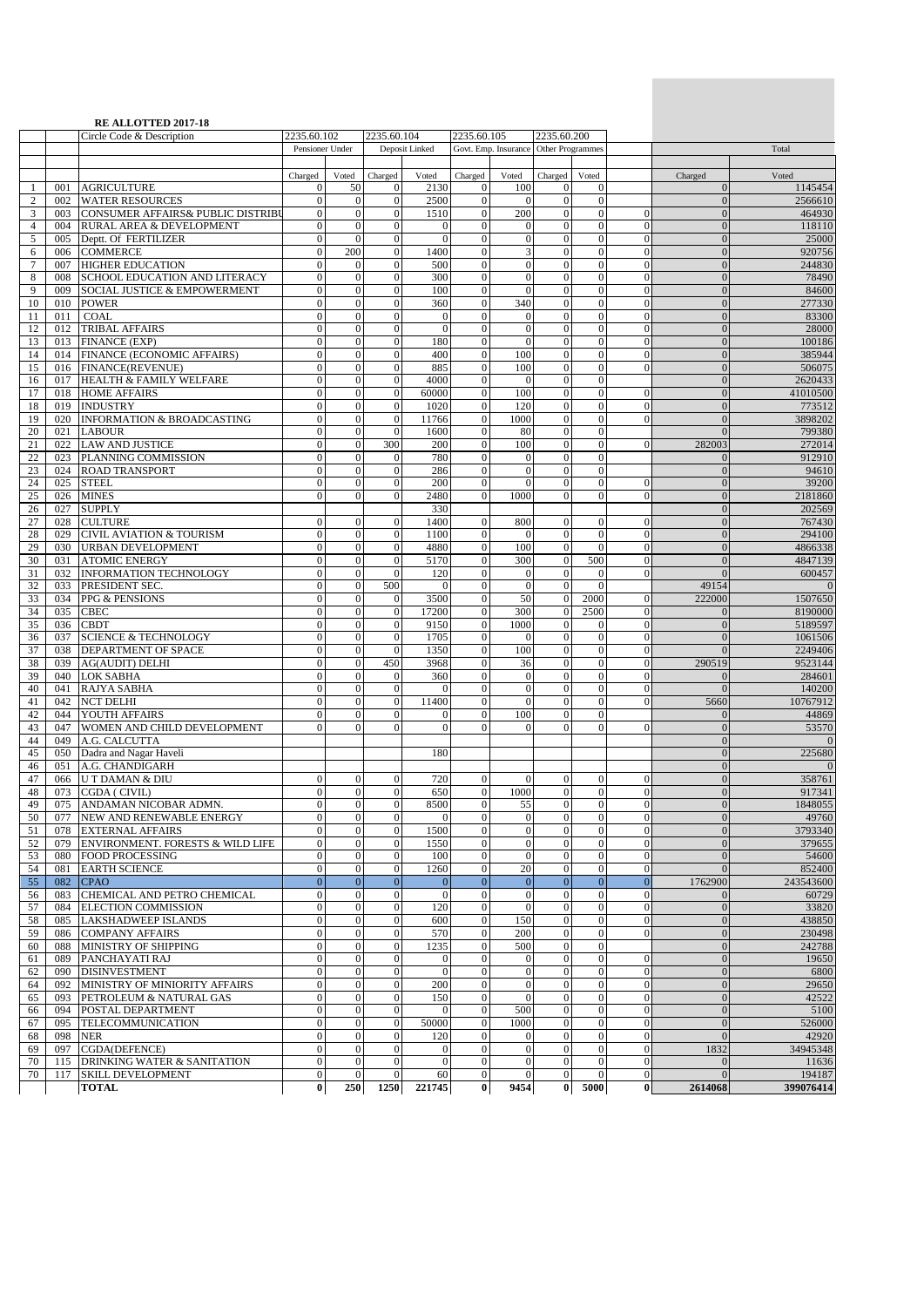|                               |            | <b>RE ALLOTTED 2017-18</b><br>Circle Code & Description       | 2235.60.102                          |                                      | 2235.60.104                          |                              | 2235.60.105                          |                                       | 2235.60.200                          |                              |                                  |                                      |                          |
|-------------------------------|------------|---------------------------------------------------------------|--------------------------------------|--------------------------------------|--------------------------------------|------------------------------|--------------------------------------|---------------------------------------|--------------------------------------|------------------------------|----------------------------------|--------------------------------------|--------------------------|
|                               |            |                                                               | Pensioner Under                      |                                      |                                      | Deposit Linked               |                                      | Govt. Emp. Insurance Other Programmes |                                      |                              |                                  |                                      | Total                    |
|                               |            |                                                               |                                      | Voted                                | Charged                              |                              |                                      |                                       | Charged                              |                              |                                  |                                      | Voted                    |
| -1                            | 001        | <b>AGRICULTURE</b>                                            | Charged<br>$\mathbf{0}$              | 50                                   | $\mathbf{0}$                         | Voted<br>2130                | Charged<br>$\theta$                  | Voted<br>100                          | $\mathbf{0}$                         | Voted<br>$\mathbf{0}$        |                                  | Charged<br>$\mathbf{0}$              | 1145454                  |
| $\overline{c}$                | 002        | <b>WATER RESOURCES</b>                                        | $\boldsymbol{0}$                     | $\mathbf{0}$                         | $\mathbf{0}$                         | 2500                         | $\mathbf{0}$                         | $\mathbf{0}$                          | $\mathbf{0}$                         | $\mathbf{0}$                 |                                  | $\mathbf{0}$                         | 2566610                  |
| 3<br>$\overline{\mathcal{L}}$ | 003<br>004 | CONSUMER AFFAIRS& PUBLIC DISTRIBU<br>RURAL AREA & DEVELOPMENT | $\boldsymbol{0}$<br>$\overline{0}$   | $\boldsymbol{0}$<br>$\boldsymbol{0}$ | $\boldsymbol{0}$<br>$\boldsymbol{0}$ | 1510<br>$\mathbf{0}$         | $\mathbf{0}$<br>$\overline{0}$       | 200<br>$\boldsymbol{0}$               | $\boldsymbol{0}$<br>$\boldsymbol{0}$ | $\mathbf{0}$<br>$\mathbf{0}$ | $\Omega$<br>$\overline{0}$       | $\boldsymbol{0}$<br>$\mathbf{0}$     | 464930<br>118110         |
| 5                             | 005        | Deptt. Of FERTILIZER                                          | $\boldsymbol{0}$                     | $\overline{0}$                       | $\mathbf{0}$                         | $\Omega$                     | $\overline{0}$                       | $\mathbf{0}$                          | $\overline{0}$                       | $\mathbf 0$                  | $\Omega$                         | $\mathbf{0}$                         | 25000                    |
| 6                             | 006        | <b>COMMERCE</b>                                               | $\boldsymbol{0}$                     | 200                                  | $\mathbf{0}$                         | 1400                         | $\boldsymbol{0}$                     | 3                                     | $\boldsymbol{0}$                     | $\mathbf{0}$                 | $\overline{0}$                   | $\mathbf{0}$                         | 920756                   |
| 7                             | 007        | <b>HIGHER EDUCATION</b>                                       | $\boldsymbol{0}$                     | $\boldsymbol{0}$                     | $\boldsymbol{0}$<br>$\mathbf{0}$     | 500                          | $\overline{0}$<br>$\mathbf{0}$       | $\boldsymbol{0}$                      | $\overline{0}$<br>$\overline{0}$     | $\mathbf{0}$                 | $\Omega$<br>$\Omega$             | $\boldsymbol{0}$                     | 244830                   |
| 8<br>9                        | 008<br>009 | SCHOOL EDUCATION AND LITERACY<br>SOCIAL JUSTICE & EMPOWERMENT | $\overline{0}$<br>$\boldsymbol{0}$   | $\boldsymbol{0}$<br>$\boldsymbol{0}$ | $\boldsymbol{0}$                     | 300<br>100                   | $\mathbf{0}$                         | $\overline{0}$<br>$\mathbf{0}$        | $\boldsymbol{0}$                     | $\mathbf{0}$<br>$\mathbf{0}$ | $\mathbf{0}$                     | $\mathbf{0}$<br>$\boldsymbol{0}$     | 78490<br>84600           |
| 10                            | 010        | <b>POWER</b>                                                  | $\mathbf{0}$                         | $\boldsymbol{0}$                     | $\mathbf{0}$                         | 360                          | $\overline{0}$                       | 340                                   | $\mathbf{0}$                         | $\mathbf{0}$                 | $\overline{0}$                   | $\mathbf{0}$                         | 277330                   |
| 11                            | 011        | <b>COAL</b>                                                   | $\boldsymbol{0}$                     | $\boldsymbol{0}$                     | $\mathbf{0}$                         | $\mathbf{0}$                 | $\boldsymbol{0}$                     | $\mathbf{0}$                          | $\boldsymbol{0}$                     | $\mathbf{0}$                 | $\overline{0}$                   | $\mathbf{0}$                         | 83300                    |
| 12<br>13                      | 012<br>013 | <b>TRIBAL AFFAIRS</b><br>FINANCE (EXP)                        | $\mathbf{0}$<br>$\mathbf{0}$         | $\boldsymbol{0}$<br>$\boldsymbol{0}$ | $\boldsymbol{0}$<br>$\boldsymbol{0}$ | $\mathbf{0}$<br>180          | $\mathbf{0}$<br>$\boldsymbol{0}$     | $\overline{0}$<br>$\mathbf{0}$        | $\boldsymbol{0}$<br>$\mathbf{0}$     | $\mathbf{0}$<br>$\mathbf{0}$ | $\overline{0}$<br>$\Omega$       | $\mathbf{0}$<br>$\boldsymbol{0}$     | 28000<br>100186          |
| 14                            | 014        | FINANCE (ECONOMIC AFFAIRS)                                    | $\mathbf{0}$                         | $\boldsymbol{0}$                     | $\mathbf{0}$                         | 400                          | $\mathbf{0}$                         | 100                                   | $\mathbf{0}$                         | $\mathbf{0}$                 | $\overline{0}$                   | $\mathbf{0}$                         | 385944                   |
| 15                            | 016        | FINANCE(REVENUE)                                              | $\boldsymbol{0}$                     | $\boldsymbol{0}$                     | $\boldsymbol{0}$                     | 885                          | $\boldsymbol{0}$                     | 100                                   | $\overline{0}$                       | $\mathbf 0$                  | $\overline{0}$                   | $\boldsymbol{0}$                     | 506075                   |
| 16                            | 017        | HEALTH & FAMILY WELFARE                                       | $\mathbf{0}$                         | $\boldsymbol{0}$                     | $\mathbf{0}$                         | 4000                         | $\mathbf{0}$                         | $\overline{0}$                        | $\boldsymbol{0}$                     | $\mathbf{0}$                 |                                  | $\mathbf{0}$                         | 2620433                  |
| 17<br>18                      | 018<br>019 | <b>HOME AFFAIRS</b><br><b>INDUSTRY</b>                        | $\mathbf{0}$<br>$\mathbf{0}$         | $\boldsymbol{0}$<br>$\mathbf{0}$     | $\boldsymbol{0}$<br>$\mathbf{0}$     | 60000<br>1020                | $\mathbf{0}$<br>$\mathbf{0}$         | 100<br>120                            | $\overline{0}$<br>$\mathbf{0}$       | $\mathbf{0}$<br>$\mathbf 0$  | $\overline{0}$<br>$\Omega$       | $\mathbf{0}$<br>$\mathbf{0}$         | 41010500<br>773512       |
| 19                            | 020        | <b>INFORMATION &amp; BROADCASTING</b>                         | $\boldsymbol{0}$                     | $\boldsymbol{0}$                     | $\mathbf{0}$                         | 11766                        | $\boldsymbol{0}$                     | 1000                                  | $\boldsymbol{0}$                     | $\mathbf{0}$                 | $\Omega$                         | $\mathbf{0}$                         | 3898202                  |
| 20                            | 021        | <b>LABOUR</b>                                                 | $\boldsymbol{0}$                     | $\boldsymbol{0}$                     | $\mathbf{0}$                         | 1600                         | $\overline{0}$                       | 80                                    | $\boldsymbol{0}$                     | $\mathbf 0$                  |                                  | $\theta$                             | 799380                   |
| 21<br>22                      | 022<br>023 | <b>LAW AND JUSTICE</b><br>PLANNING COMMISSION                 | $\overline{0}$<br>$\boldsymbol{0}$   | $\boldsymbol{0}$<br>$\boldsymbol{0}$ | 300<br>$\mathbf{0}$                  | 200<br>780                   | $\mathbf{0}$<br>$\mathbf{0}$         | 100<br>$\mathbf{0}$                   | $\overline{0}$<br>$\overline{0}$     | $\mathbf{0}$<br>$\mathbf 0$  | $\Omega$                         | 282003<br>$\mathbf{0}$               | 272014<br>912910         |
| 23                            | 024        | <b>ROAD TRANSPORT</b>                                         | $\boldsymbol{0}$                     | $\boldsymbol{0}$                     | $\mathbf{0}$                         | 286                          | $\mathbf{0}$                         | $\overline{0}$                        | $\mathbf{0}$                         | $\mathbf{0}$                 |                                  | $\mathbf{0}$                         | 94610                    |
| 24                            | 025        | <b>STEEL</b>                                                  | $\overline{0}$                       | $\boldsymbol{0}$                     | $\boldsymbol{0}$                     | 200                          | $\mathbf{0}$                         | $\overline{0}$                        | $\overline{0}$                       | $\mathbf{0}$                 | $\Omega$                         | $\mathbf{0}$                         | 39200                    |
| 25                            | 026        | <b>MINES</b>                                                  | $\overline{0}$                       | $\boldsymbol{0}$                     | $\boldsymbol{0}$                     | 2480                         | $\mathbf{0}$                         | 1000                                  | $\boldsymbol{0}$                     | $\overline{0}$               | $\overline{0}$                   | $\mathbf{0}$                         | 2181860                  |
| 26<br>27                      | 027<br>028 | <b>SUPPLY</b><br><b>CULTURE</b>                               | $\boldsymbol{0}$                     | $\boldsymbol{0}$                     | $\mathbf{0}$                         | 330<br>1400                  | $\mathbf{0}$                         | 800                                   | $\mathbf{0}$                         | $\mathbf{0}$                 | $\overline{0}$                   | $\mathbf{0}$<br>$\mathbf{0}$         | 202569<br>767430         |
| 28                            | 029        | <b>CIVIL AVIATION &amp; TOURISM</b>                           | $\boldsymbol{0}$                     | $\boldsymbol{0}$                     | $\boldsymbol{0}$                     | 1100                         | $\overline{0}$                       | $\mathbf{0}$                          | $\overline{0}$                       | $\mathbf{0}$                 | $\Omega$                         | $\boldsymbol{0}$                     | 294100                   |
| 29                            | 030        | <b>URBAN DEVELOPMENT</b>                                      | $\overline{0}$                       | $\overline{0}$                       | $\mathbf{0}$                         | 4880                         | $\mathbf{0}$                         | 100                                   | $\overline{0}$                       | $\mathbf{0}$                 | $\Omega$                         | $\mathbf{0}$                         | 4866338                  |
| 30<br>31                      | 031<br>032 | <b>ATOMIC ENERGY</b><br><b>INFORMATION TECHNOLOGY</b>         | $\boldsymbol{0}$<br>$\mathbf{0}$     | $\boldsymbol{0}$<br>$\boldsymbol{0}$ | $\mathbf{0}$<br>$\mathbf{0}$         | 5170<br>120                  | $\boldsymbol{0}$<br>$\mathbf{0}$     | 300<br>$\mathbf{0}$                   | $\mathbf{0}$<br>$\mathbf{0}$         | 500<br>$\mathbf{0}$          | $\mathbf{0}$<br>$\overline{0}$   | $\mathbf{0}$<br>$\mathbf{0}$         | 4847139<br>600457        |
| 32                            | 033        | PRESIDENT SEC.                                                | $\boldsymbol{0}$                     | $\boldsymbol{0}$                     | 500                                  | $\theta$                     | $\boldsymbol{0}$                     | $\mathbf{0}$                          | $\mathbf{0}$                         | $\boldsymbol{0}$             |                                  | 49154                                | $\overline{0}$           |
| 33                            | 034        | PPG & PENSIONS                                                | $\mathbf{0}$                         | $\boldsymbol{0}$                     | $\boldsymbol{0}$                     | 3500                         | $\mathbf{0}$                         | 50                                    | $\boldsymbol{0}$                     | 2000                         | $\overline{0}$                   | 222000                               | 1507650                  |
| 34                            | 035        | <b>CBEC</b>                                                   | $\mathbf{0}$                         | $\mathbf{0}$                         | $\mathbf{0}$                         | 17200                        | $\boldsymbol{0}$                     | 300                                   | $\mathbf{0}$                         | 2500                         | $\Omega$                         | $\mathbf{0}$                         | 8190000                  |
| 35<br>36                      | 036<br>037 | <b>CBDT</b><br><b>SCIENCE &amp; TECHNOLOGY</b>                | $\mathbf{0}$<br>$\boldsymbol{0}$     | $\mathbf{0}$<br>$\overline{0}$       | $\mathbf{0}$<br>$\boldsymbol{0}$     | 9150<br>1705                 | $\mathbf{0}$<br>$\boldsymbol{0}$     | 1000<br>$\boldsymbol{0}$              | $\mathbf{0}$<br>$\overline{0}$       | $\mathbf{0}$<br>$\mathbf{0}$ | $\overline{0}$<br>$\overline{0}$ | $\mathbf{0}$<br>$\mathbf{0}$         | 5189597<br>1061506       |
| 37                            | 038        | DEPARTMENT OF SPACE                                           | $\mathbf{0}$                         | $\boldsymbol{0}$                     | $\mathbf{0}$                         | 1350                         | $\mathbf{0}$                         | 100                                   | $\boldsymbol{0}$                     | $\mathbf{0}$                 | $\Omega$                         | $\overline{0}$                       | 2249406                  |
| 38                            | 039        | <b>AG(AUDIT) DELHI</b>                                        | $\mathbf{0}$                         | $\mathbf{0}$                         | 450                                  | 3968                         | $\boldsymbol{0}$                     | 36                                    | $\boldsymbol{0}$                     | $\mathbf{0}$                 | $\overline{0}$                   | 290519                               | 9523144                  |
| 39<br>40                      | 040<br>041 | <b>LOK SABHA</b><br>RAJYA SABHA                               | $\mathbf{0}$<br>$\boldsymbol{0}$     | $\mathbf{0}$<br>$\boldsymbol{0}$     | $\mathbf{0}$<br>$\mathbf{0}$         | 360<br>$\mathbf{0}$          | $\mathbf{0}$<br>$\boldsymbol{0}$     | $\mathbf{0}$<br>$\boldsymbol{0}$      | $\mathbf{0}$<br>$\boldsymbol{0}$     | $\mathbf{0}$<br>$\mathbf{0}$ | $\Omega$<br>$\overline{0}$       | $\mathbf{0}$<br>$\mathbf{0}$         | 284601<br>140200         |
| 41                            | 042        | <b>NCT DELHI</b>                                              | $\overline{0}$                       | $\boldsymbol{0}$                     | $\mathbf{0}$                         | 11400                        | $\overline{0}$                       | $\mathbf{0}$                          | $\mathbf{0}$                         | $\mathbf{0}$                 | $\Omega$                         | 5660                                 | 10767912                 |
| 42                            | 044        | YOUTH AFFAIRS                                                 | $\mathbf{0}$                         | $\overline{0}$                       | $\mathbf{0}$                         | $\Omega$                     | $\mathbf{0}$                         | 100                                   | $\mathbf{0}$                         | $\mathbf{0}$                 |                                  | $\mathbf{0}$                         | 44869                    |
| 43                            | 047        | WOMEN AND CHILD DEVELOPMENT                                   | $\overline{0}$                       | $\boldsymbol{0}$                     | $\mathbf{0}$                         | $\mathbf{0}$                 | $\mathbf{0}$                         | $\mathbf{0}$                          | $\overline{0}$                       | $\mathbf{0}$                 | $\Omega$                         | $\mathbf{0}$                         | 53570                    |
| 44<br>45                      | 049<br>050 | A.G. CALCUTTA<br>Dadra and Nagar Haveli                       |                                      |                                      |                                      | 180                          |                                      |                                       |                                      |                              |                                  | $\mathbf{0}$<br>$\mathbf{0}$         | $\overline{0}$<br>225680 |
| 46                            | 051        | A.G. CHANDIGARH                                               |                                      |                                      |                                      |                              |                                      |                                       |                                      |                              |                                  | $\overline{0}$                       | $\overline{0}$           |
| 47                            | 066        | U T DAMAN & DIU                                               | $\boldsymbol{0}$                     | $\mathbf{0}$                         | $\mathbf{0}$                         | 720                          | $\mathbf{0}$                         | $\mathbf{0}$                          | $\mathbf{0}$                         | $\mathbf{0}$                 | $\overline{0}$                   | $\mathbf{0}$                         | 358761                   |
| 48<br>49                      | 073<br>075 | CGDA (CIVIL)<br>ANDAMAN NICOBAR ADMN.                         | $\boldsymbol{0}$<br>$\boldsymbol{0}$ | $\boldsymbol{0}$<br>$\boldsymbol{0}$ | $\mathbf{0}$<br>$\boldsymbol{0}$     | 650<br>8500                  | $\mathbf{0}$<br>$\boldsymbol{0}$     | 1000<br>55                            | $\boldsymbol{0}$<br>$\boldsymbol{0}$ | $\mathbf{0}$<br>$\mathbf{0}$ | $\overline{0}$<br>$\overline{0}$ | $\mathbf{0}$<br>$\mathbf{0}$         | 917341<br>1848055        |
| 50                            | 077        | NEW AND RENEWABLE ENERGY                                      | $\boldsymbol{0}$                     | $\boldsymbol{0}$                     | $\boldsymbol{0}$                     | $\theta$                     | $\boldsymbol{0}$                     | $\boldsymbol{0}$                      | $\boldsymbol{0}$                     | $\mathbf{0}$                 | $\overline{0}$                   | $\mathbf{0}$                         | 49760                    |
| 51                            | 078        | <b>EXTERNAL AFFAIRS</b>                                       | $\boldsymbol{0}$                     | $\boldsymbol{0}$                     | $\boldsymbol{0}$                     | 1500                         | $\boldsymbol{0}$                     | $\mathbf{0}$                          | $\boldsymbol{0}$                     | $\boldsymbol{0}$             | $\mathbf{0}$                     | $\mathbf{0}$                         | 3793340                  |
| 52                            | 079        | ENVIRONMENT. FORESTS & WILD LIFE                              | $\boldsymbol{0}$                     | $\boldsymbol{0}$                     | $\mathbf{0}$                         | 1550                         | $\boldsymbol{0}$                     | $\boldsymbol{0}$                      | $\mathbf{0}$                         | $\mathbf{0}$                 | $\overline{0}$                   | $\mathbf{0}$                         | 379655                   |
| 53<br>54                      | 080<br>081 | <b>FOOD PROCESSING</b><br><b>EARTH SCIENCE</b>                | $\boldsymbol{0}$<br>$\boldsymbol{0}$ | $\boldsymbol{0}$<br>$\boldsymbol{0}$ | $\mathbf{0}$<br>$\mathbf{0}$         | 100<br>1260                  | $\boldsymbol{0}$<br>$\mathbf{0}$     | $\mathbf{0}$<br>20                    | $\boldsymbol{0}$<br>$\boldsymbol{0}$ | $\mathbf{0}$<br>$\mathbf{0}$ | $\overline{0}$<br>$\overline{0}$ | $\mathbf{0}$<br>$\mathbf{0}$         | 54600<br>852400          |
| 55                            | 082        | <b>CPAO</b>                                                   | $\mathbf{0}$                         | $\mathbf{0}$                         | $\mathbf{0}$                         | $\mathbf{0}$                 | $\mathbf{0}$                         | $\mathbf{0}$                          | $\mathbf{0}$                         | $\mathbf{0}$                 | $\overline{0}$                   | 1762900                              | 243543600                |
| 56                            | 083        | CHEMICAL AND PETRO CHEMICAL                                   | $\mathbf{0}$                         | $\mathbf{0}$                         | $\mathbf{0}$                         | $\mathbf{0}$                 | $\mathbf{0}$                         | $\mathbf{0}$                          | $\mathbf{0}$                         | $\mathbf{0}$                 | $\overline{0}$                   | $\mathbf{0}$                         | 60729                    |
| 57<br>58                      | 084<br>085 | <b>ELECTION COMMISSION</b><br>LAKSHADWEEP ISLANDS             | $\boldsymbol{0}$<br>$\boldsymbol{0}$ | $\overline{0}$<br>$\boldsymbol{0}$   | $\boldsymbol{0}$<br>$\boldsymbol{0}$ | 120<br>600                   | $\boldsymbol{0}$<br>$\mathbf{0}$     | $\boldsymbol{0}$<br>150               | $\overline{0}$<br>$\boldsymbol{0}$   | $\mathbf{0}$<br>$\mathbf{0}$ | $\overline{0}$<br>$\overline{0}$ | $\boldsymbol{0}$<br>$\boldsymbol{0}$ | 33820<br>438850          |
| 59                            | 086        | <b>COMPANY AFFAIRS</b>                                        | $\mathbf{0}$                         | $\mathbf{0}$                         | $\mathbf{0}$                         | 570                          | $\boldsymbol{0}$                     | 200                                   | $\boldsymbol{0}$                     | $\mathbf{0}$                 | $\mathbf{0}$                     | $\mathbf{0}$                         | 230498                   |
| 60                            | 088        | MINISTRY OF SHIPPING                                          | $\mathbf{0}$                         | $\boldsymbol{0}$                     | $\mathbf{0}$                         | 1235                         | $\mathbf{0}$                         | 500                                   | $\mathbf{0}$                         | $\mathbf{0}$                 |                                  | $\boldsymbol{0}$                     | 242788                   |
| 61                            | 089        | PANCHAYATI RAJ                                                | $\boldsymbol{0}$<br>$\boldsymbol{0}$ | $\boldsymbol{0}$                     | $\mathbf{0}$<br>$\boldsymbol{0}$     | $\mathbf{0}$<br>$\mathbf{0}$ | $\boldsymbol{0}$<br>$\boldsymbol{0}$ | $\mathbf{0}$<br>$\boldsymbol{0}$      | $\boldsymbol{0}$<br>$\boldsymbol{0}$ | $\mathbf{0}$<br>$\mathbf{0}$ | $\overline{0}$<br>$\overline{0}$ | $\mathbf{0}$<br>$\boldsymbol{0}$     | 19650                    |
| 62<br>64                      | 090<br>092 | <b>DISINVESTMENT</b><br>MINISTRY OF MINIORITY AFFAIRS         | $\mathbf{0}$                         | $\boldsymbol{0}$<br>$\mathbf{0}$     | $\boldsymbol{0}$                     | 200                          | $\mathbf{0}$                         | $\mathbf{0}$                          | $\mathbf{0}$                         | $\overline{0}$               | $\overline{0}$                   | $\mathbf{0}$                         | 6800<br>29650            |
| 65                            | 093        | PETROLEUM & NATURAL GAS                                       | $\mathbf{0}$                         | $\boldsymbol{0}$                     | $\boldsymbol{0}$                     | 150                          | $\mathbf{0}$                         | $\mathbf{0}$                          | $\overline{0}$                       | $\boldsymbol{0}$             | $\mathbf{0}$                     | $\boldsymbol{0}$                     | 42522                    |
| 66                            | 094        | POSTAL DEPARTMENT                                             | $\boldsymbol{0}$                     | $\mathbf{0}$                         | $\mathbf{0}$                         | $\mathbf{0}$                 | $\mathbf{0}$                         | 500                                   | $\mathbf{0}$                         | $\mathbf{0}$                 | $\overline{0}$                   | $\mathbf{0}$                         | 5100                     |
| 67<br>68                      | 095<br>098 | TELECOMMUNICATION<br><b>NER</b>                               | $\boldsymbol{0}$<br>$\boldsymbol{0}$ | $\boldsymbol{0}$<br>$\boldsymbol{0}$ | $\mathbf{0}$<br>$\boldsymbol{0}$     | 50000<br>120                 | $\mathbf{0}$<br>$\boldsymbol{0}$     | 1000<br>$\boldsymbol{0}$              | $\boldsymbol{0}$<br>$\boldsymbol{0}$ | $\mathbf{0}$<br>$\mathbf{0}$ | $\overline{0}$<br>$\overline{0}$ | $\mathbf{0}$<br>$\mathbf{0}$         | 526000<br>42920          |
| 69                            | 097        | CGDA(DEFENCE)                                                 | $\boldsymbol{0}$                     | $\boldsymbol{0}$                     | $\mathbf{0}$                         | $\mathbf{0}$                 | $\overline{0}$                       | $\boldsymbol{0}$                      | $\overline{0}$                       | $\mathbf{0}$                 | $\overline{0}$                   | 1832                                 | 34945348                 |
| 70                            | 115        | <b>DRINKING WATER &amp; SANITATION</b>                        | $\boldsymbol{0}$                     | $\mathbf{0}$                         | $\mathbf{0}$                         | $\boldsymbol{0}$             | $\boldsymbol{0}$                     | $\boldsymbol{0}$                      | $\mathbf{0}$                         | $\mathbf{0}$                 | $\mathbf{0}$                     | $\mathbf{0}$                         | 11636                    |
| 70                            | 117        | <b>SKILL DEVELOPMENT</b>                                      | $\boldsymbol{0}$<br>$\bf{0}$         | $\boldsymbol{0}$                     | $\boldsymbol{0}$                     | 60                           | $\boldsymbol{0}$<br>$\bf{0}$         | $\boldsymbol{0}$<br>9454              | $\mathbf{0}$<br>$\bf{0}$             | $\mathbf{0}$                 | $\mathbf{0}$<br>$\bf{0}$         | $\mathbf{0}$<br>2614068              | 194187<br>399076414      |
|                               |            | <b>TOTAL</b>                                                  |                                      | 250                                  | 1250                                 | 221745                       |                                      |                                       |                                      | 5000                         |                                  |                                      |                          |